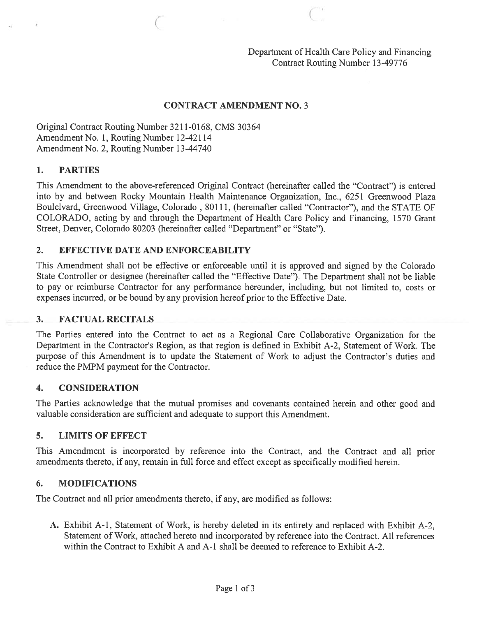Department of Health Care Policy and Financing Contract Routing Number 13-49776

#### CONTRACT AMENDMENT NO. 3

 $\epsilon$  c, and c, and c, and c, and c, and c, and c, and c, and c, and c, and c, and c, and c, and c, and c, and c, and c, and c, and c, and c, and c, and c, and c, and c, and c, and c, and c, and c, and c, and c, and c, and

Original Contract Routing Number 3211-0168, CMS 30364 Amendment No. 1, Routing Number 12-42114 Amendment No. 2, Routing Number 13-44740

#### 1. PARTIES

This Amendment to the above-referenced Original Contract (hereinafter called the "Contract") is entered into by and between Rocky Mountain Health Maintenance Organization, Inc., 6251 Greenwood Plaza Boulelvard, Greenwood Village, Colorado , 80111, (hereinafter called "Contractor"), and the STATE OF COLORADO, acting by and through the Department of Health Care Policy and Financing, 1570 Grant Street, Denver, Colorado 80203 (hereinafter called "Department" or "State").

#### 2. EFFECTIVE DATE AND ENFORCEABILITY

This Amendment shall not be effective or enforceable until it is approved and signed by the Colorado State Controller or designee (hereinafter called the "Effective Date"). The Department shall not be liable to pay or reimburse Contractor for any performance hereunder, including, but not limited to, costs or expenses incurred, or be bound by any provision hereof prior to the Effective Date.

#### 3. FACTUAL RECITALS

The Parties entered into the Contract to act as <sup>a</sup> Regional Care Collaborative Organization for the Department in the Contractor's Region, as that region is defined in Exhibit A-2, Statement of Work. The purpose of this Amendment is to update the Statement of Work to adjust the Contractor's duties and reduce the PMPM paymen<sup>t</sup> for the Contractor.

#### 4. CONSIDERATION

The Parties acknowledge that the mutual promises and covenants contained herein and other good and valuable consideration are sufficient and adequate to suppor<sup>t</sup> this Amendment.

### 5. LIMITS OF EFFECT

This Amendment is incorporated by reference into the Contract, and the Contract and all prior amendments thereto, if any, remain in full force and effect excep<sup>t</sup> as specifically modified herein.

#### 6. MODIFICATIONS

The Contract and all prior amendments thereto, if any, are modified as follows:

A. Exhibit A-i, Statement of Work, is hereby deleted in its entirety and replaced with Exhibit A-2, Statement of Work, attached hereto and incorporated by reference into the Contract. All references within the Contract to Exhibit A and A-1 shall be deemed to reference to Exhibit A-2.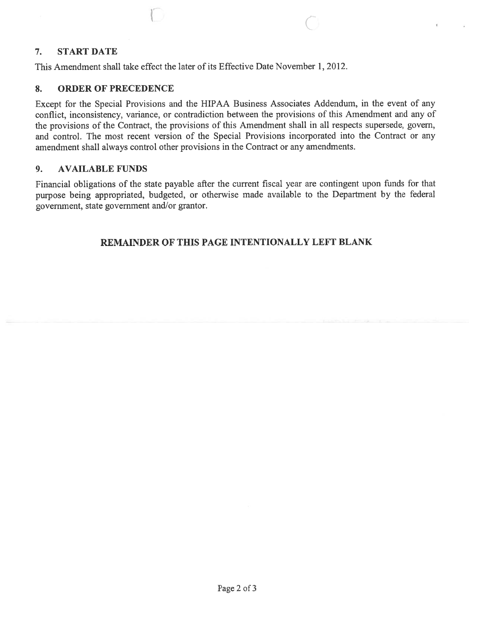## 7. START DATE

This Amendment shall take effect the later of its Effective Date November 1, 2012.

## 8. ORDER OF PRECEDENCE

Except for the Special Provisions and the HIPAA Business Associates Addendum, in the event of any conflict, inconsistency, variance, or contradiction between the provisions of this Amendment and any of the provisions of the Contract, the provisions of this Amendment shall in all respects supersede, govern, and control. The most recent version of the Special Provisions incorporated into the Contract or any amendment shall always control other provisions in the Contract or any amendments.

C

### 9. AVAILABLE FUNDS

Financial obligations of the state payable after the current fiscal year are contingent upon funds for that purpose being appropriated, budgeted, or otherwise made available to the Department by the federal government, state governmen<sup>t</sup> and/or grantor.

# REMAINDER OF THIS PAGE INTENTIONALLY LEFT BLANK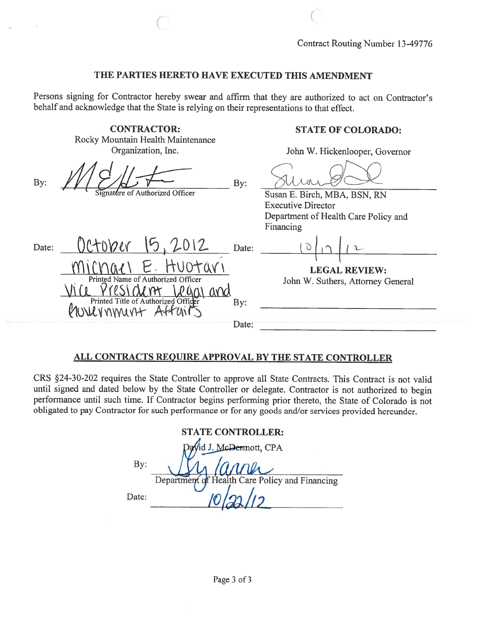### THE PARTIES HERETO HAVE EXECUTED THIS AMENDMENT

 $\overline{\text{C}}$  c

Persons signing for Contractor hereby swear and affirm that they are authorized to act on Contractor's behalf and acknowledge that the State is relying on their representations to that effect.

|       | <b>CONTRACTOR:</b><br>Rocky Mountain Health Maintenance                                     |              | <b>STATE OF COLORADO:</b>                                                                         |
|-------|---------------------------------------------------------------------------------------------|--------------|---------------------------------------------------------------------------------------------------|
|       | Organization, Inc.                                                                          |              | John W. Hickenlooper, Governor                                                                    |
| By:   | Signature of Authorized Officer                                                             | By:          | Susan E. Birch, MBA, BSN, RN<br><b>Executive Director</b><br>Department of Health Care Policy and |
| Date: | OCTODER<br>15,2012                                                                          | Date:        | Financing                                                                                         |
|       | Printed Name of Authorized Officer<br>Printed Title of Authorized Officer<br>AUNICVANNUNT A | By:<br>Date: | <b>LEGAL REVIEW:</b><br>John W. Suthers, Attorney General                                         |
|       |                                                                                             |              |                                                                                                   |

# ALL CONTRACTS REQUIRE APPROVAL BY THE STATE CONTROLLER

CRS §24-30-202 requires the State Controller to approve all State Contracts. This Contract is not valid until signed and dated below by the State Controller or delegate. Contractor is not authorized to begin performance until such time. If Contractor begins performing prior thereto, the State of Colorado is not obligated to pay Contractor for such performance or for any goods and/or services provided hereunder.

| <b>STATE CONTROLLER:</b> |                                                |  |  |  |  |
|--------------------------|------------------------------------------------|--|--|--|--|
|                          | David J. McDermott, CPA                        |  |  |  |  |
| By:                      | anner                                          |  |  |  |  |
|                          | Department of Health Care Policy and Financing |  |  |  |  |
| Date:                    |                                                |  |  |  |  |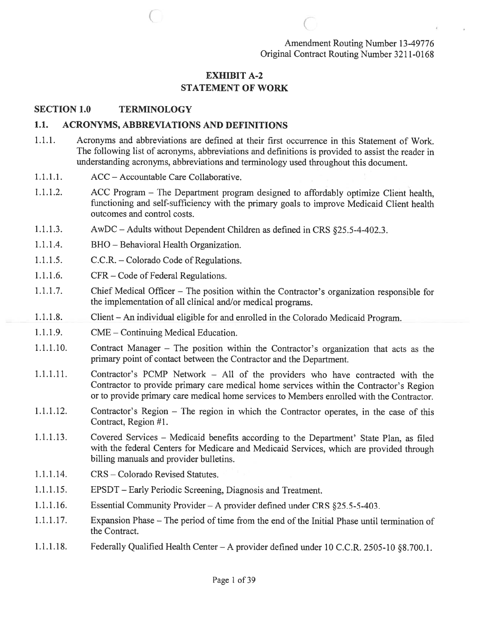Amendment Routing Number 13-49776 Original Contract Routing Number 32 11-0168

# EXHIBIT A-2 STATEMENT OF WORK

 $\overline{\begin{array}{ccc} \text{C} & \text{C} & \text{C} \end{array}}$ 

#### SECTION 1.0 TERMINOLOGY

#### 1.1. ACRONYMS, ABBREVIATIONS AND DEFINITIONS

- 1.1.1. Acronyms and abbreviations are defined at their first occurrence in this Statement of Work. The following list of acronyms, abbreviations and definitions is provided to assist the reader in understanding acronyms, abbreviations and terminology used throughout this document.
- 1.1.1.1. ACC Accountable Care Collaborative.
- 1.1.1.2. ACC Program The Department program designed to affordably optimize Client health, functioning and self-sufficiency with the primary goals to improve Medicaid Client health outcomes and control costs.
- 1.1.1.3. AwDC —Adults without Dependent Children as defined in CRS §25.5-4-402.3.
- 1.1.1.4. BHO Behavioral Health Organization.
- 1.1.1.5. C.C.R. Colorado Code of Regulations.
- 1.1.1.6. CFR Code of Federal Regulations.
- 1.1.1.7. Chief Medical Officer The position within the Contractor's organization responsible for the implementation of all clinical and/or medical programs.
- 1.1.1.8. Client An individual eligible for and enrolled in the Colorado Medicaid Program.
- 1.1.1.9. CME Continuing Medical Education.
- 1.1.1.10. Contract Manager The position within the Contractor's organization that acts as the primary point of contact between the Contractor and the Department.
- 1.1.1.11. Contractor's PCMP Network All of the providers who have contracted with the Contractor to provide primary care medical home services within the Contractor's Region or to provide primary care medical home services to Members enrolled with the Contractor.
- 1.1.1.12. Contractor's Region The region in which the Contractor operates, in the case of this Contract, Region #1.
- 1.1.1.13. Covered Services Medicaid benefits according to the Department' State Plan, as filed with the federal Centers for Medicare and Medicaid Services, which are provided through billing manuals and provider bulletins.
- 1.1.1.14. CRS Colorado Revised Statutes.
- 1.1.1.15. EPSDT Early Periodic Screening, Diagnosis and Treatment.
- 1.1.1.16. Essential Community Provider A provider defined under CRS §25.5-5-403.
- 1.1.1.17. Expansion Phase The period of time from the end of the Initial Phase until termination of the Contract.
- 1.1.1.18. Federally Qualified Health Center—A provider defined under 10 C.C.R. 2505-10 §8.700.1.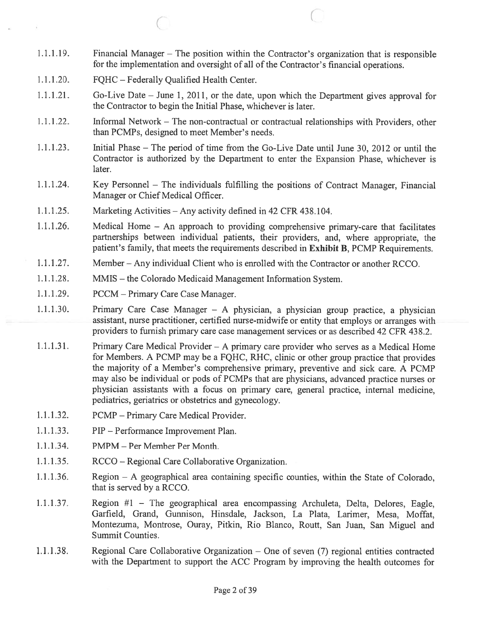1.1.1.19. Financial Manager — The position within the Contractor's organization that is responsible for the implementation and oversight of all of the Contractor's financial operations.

 $\overline{C}$ 

- 1.1.1.20. FQHC Federally Qualified Health Center.
- 1.1.1 .21. Go-Live Date June 1, 2011, or the date, upon which the Department <sup>g</sup>ives approva<sup>l</sup> for the Contractor to begin the Initial Phase, whichever is later.
- 1.1.1.22. Informal Network The non-contractual or contractual relationships with Providers, other than PCMPs, designed to meet Member's needs.
- 1.1.1.23. Initial Phase The period of time from the Go-Live Date until June 30, 2012 or until the Contractor is authorized by the Department to enter the Expansion Phase, whichever is later.
- 1.1.1.24. Key Personnel The individuals fulfilling the positions of Contract Manager, Financial Manager or Chief Medical Officer.
- 1.1.1.25. Marketing Activities Any activity defined in 42 CFR 438.104.
- 1.1.1.26. Medical Home An approac<sup>h</sup> to providing comprehensive primary-care that facilitates partnerships between individual patients, their providers, and, where appropriate, the patient's family, that meets the requirements described in Exhibit B, PCMP Requirements.
- 1.1.1.27. Member Any individual Client who is enrolled with the Contractor or another RCCO.
- 1.1.1.28. MMIS the Colorado Medicaid Management Information System.
- 1.1.1.29. PCCM Primary Care Case Manager.
- 1.1.1 .30. Primary Care Case Manager <sup>A</sup> <sup>p</sup>hysician, <sup>a</sup> <sup>p</sup>hysician group practice, <sup>a</sup> <sup>p</sup>hysician assistant, nurse practitioner, certified nurse-midwife or entity that employs or arranges with providers to furnish primary care case managemen<sup>t</sup> services or as described 42 CFR 438.2.
- 1.1.1.3 1. Primary Care Medical Provider A primary care provider who serves as <sup>a</sup> Medical Home for Members. <sup>A</sup> PCMP may be <sup>a</sup> FQHC, RHC, clinic or other group practice that provides the majority of <sup>a</sup> Member's comprehensive primary, preventive and sick care. A PCMP may also be individual or pods of PCMPs that are physicians, advanced practice nurses or <sup>p</sup>hysician assistants with <sup>a</sup> focus on primary care, genera<sup>l</sup> practice, internal medicine, pediatrics, geriatrics or obstetrics and gynecology.
- 1.1.1.32. PCMP Primary Care Medical Provider.
- 1.1.1.33. PIP Performance Improvement Plan.
- 1.1.1.34. PMPM Per Member Per Month.
- 1.1.1.35. RCCO Regional Care Collaborative Organization.
- 1.1.1.36. Region A geographical area containing specific counties, within the State of Colorado, that is served by <sup>a</sup> RCCO.
- 1.1.1.37. Region #1 The geographical area encompassing Archuleta, Delta, Delores, Eagle, Garfield, Grand, Gunnison, Hinsdale, Jackson, La Plata, Larimer, Mesa, Moffat, Montezuma, Montrose, Ouray, Pitkin, Rio Blanco, Routt, San Juan, San Miguel and Summit Counties.
- 1.1.1.38. Regional Care Collaborative Organization One of seven (7) regional entities contracted with the Department to suppor<sup>t</sup> the ACC Program by improving the health outcomes for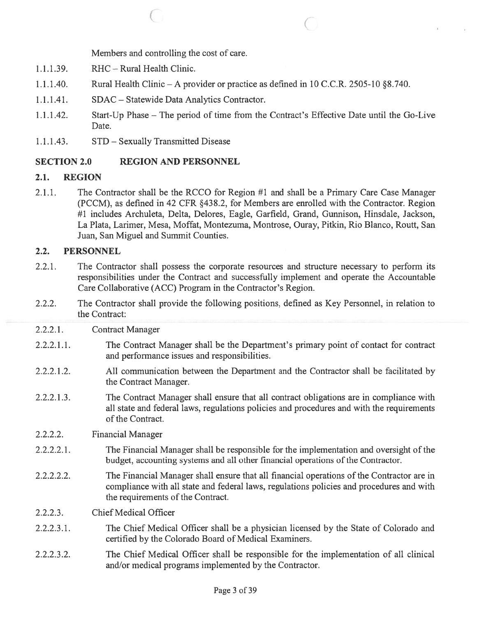Members and controlling the cost of care.

- 1.1.1.39. RHC Rural Health Clinic.
- 1.1.1.40. Rural Health Clinic A provider or practice as defined in 10 C.C.R. 2505-10 § 8.740.

 $\begin{array}{ccc} \circ & \circ & \circ \end{array}$ 

- 1.1.1.41. SDAC Statewide Data Analytics Contractor.
- 1.1.1.42. Start-Up Phase The period of time from the Contract's Effective Date until the Go-Live Date.
- 1.1.1.43. STD Sexually Transmitted Disease

### SECTION 2.0 REGION AND PERSONNEL

### 2.1. REGION

2.1.1. The Contractor shall be the RCCO for Region #1 and shall be <sup>a</sup> Primary Care Case Manager (PCCM), as defined in 42 CFR §43 8.2, for Members are enrolled with the Contractor. Region #1 includes Archuleta, Delta, Delores, Eagle, Garfield, Grand, Gunnison, Hinsdale, Jackson, La Plata, Larimer, Mesa, Moffat, Montezuma, Montrose, Ouray, Pitkin, Rio Blanco, Routt, San Juan, San Miguel and Summit Counties.

### 2.2. PERSONNEL

- 2.2.1. The Contractor shall possess the corporate resources and structure necessary to perform its responsibilities under the Contract and successfully implement and operate the Accountable Care Collaborative (ACC) Program in the Contractor's Region.
- 2.2.2. The Contractor shall provide the following positions, defined as Key Personnel, in relation to the Contract:
- 2.2.2.1. Contract Manager
- 2.2.2.1.1. The Contract Manager shall be the Department's primary point of contact for contract and performance issues and responsibilities.
- 2.2.2.1.2. All communication between the Department and the Contractor shall be facilitated by the Contract Manager.
- 2.2.2.1.3. The Contract Manager shall ensure that all contract obligations are in compliance with all state and federal laws, regulations policies and procedures and with the requirements of the Contract.
- 2.2.2.2. Financial Manager
- 2.2.2.2.1. The Financial Manager shall be responsible for the implementation and oversight of the budget, accounting systems and all other financial operations of the Contractor.
- 2.2.2.2.2. The Financial Manager shall ensure that all financial operations of the Contractor are in compliance with all state and federal laws, regulations policies and procedures and with the requirements of the Contract.
- 2.2.2.3. Chief Medical Officer
- 2.2.2.3.1. The Chief Medical Officer shall be <sup>a</sup> physician licensed by the State of Colorado and certified by the Colorado Board of Medical Examiners.
- 2.2.2.3.2. The Chief Medical Officer shall be responsible for the implementation of all clinical and/or medical programs implemented by the Contractor.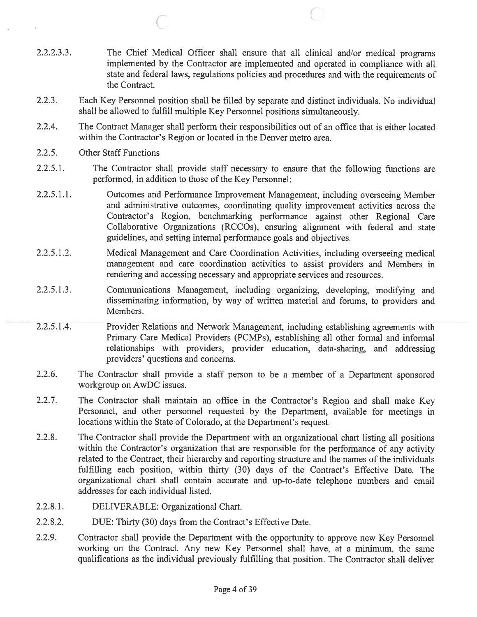2.2.2.3.3. The Chief Medical Officer shall ensure that all clinical and/or medical programs implemented by the Contractor are implemented and operated in compliance with all state and federal laws, regulations policies and procedures and with the requirements of the Contract.

 $\circ$  C

- 2.2.3. Each Key Personnel position shall be filled by separate and distinct individuals. No individual shall be allowed to fulfill multiple Key Personnel positions simultaneously.
- 2.2.4. The Contract Manager shall perform their responsibilities out of an office that is either located within the Contractor's Region or located in the Denver metro area.
- 2.2.5. Other Staff Functions
- 2.2.5.1. The Contractor shall provide staff necessary to ensure that the following functions are performed, in addition to those of the Key Personnel:
- 2.2.5.1.1. Outcomes and Performance Improvement Management, including overseeing Member and administrative outcomes, coordinating quality improvement activities across the Contractor's Region, benchmarking performance against other Regional Care Collaborative Organizations (RCCOs), ensuring alignment with federal and state guidelines, and setting internal performance goals and objectives.
- 2.2.5.1.2. Medical Management and Care Coordination Activities, including overseeing medical managemen<sup>t</sup> and care coordination activities to assist providers and Members in rendering and accessing necessary and appropriate services and resources.
- 2.2.5.1.3. Communications Management, including organizing, developing, modifying and disseminating information, by way of written material and forums, to providers and Members.
- 2.2.5.1.4. Provider Relations and Network Management, including establishing agreements with Primary Care Medical Providers (PCMPs), establishing all other formal and informal relationships with providers, provider education, data-sharing, and addressing providers' questions and concerns.
- 2.2.6. The Contractor shall provide <sup>a</sup> staff person to be <sup>a</sup> member of <sup>a</sup> Department sponsored workgroup on AwDC issues.
- 2.2.7. The Contractor shall maintain an office in the Contractor's Region and shall make Key Personnel, and other personne<sup>l</sup> requested by the Department, available for meetings in locations within the State of Colorado, at the Department's request.
- 2.2.8. The Contractor shall provide the Department with an organizational chart listing all positions within the Contractor's organization that are responsible for the performance of any activity related to the Contract, their hierarchy and reporting structure and the names of the individuals fulfilling each position, within thirty (30) days of the Contract's Effective Date. The organizational chart shall contain accurate and up-to-date telephone numbers and email addresses for each individual listed.
- 2.2.8.1. DELIVERABLE: Organizational Chart.
- 2.2.8.2. DUE: Thirty (30) days from the Contract's Effective Date.
- 2.2.9. Contractor shall provide the Department with the opportunity to approve new Key Personnel working on the Contract. Any new Key Personnel shall have, at <sup>a</sup> minimum, the same qualifications as the individual previously fulfilling that position. The Contractor shall deliver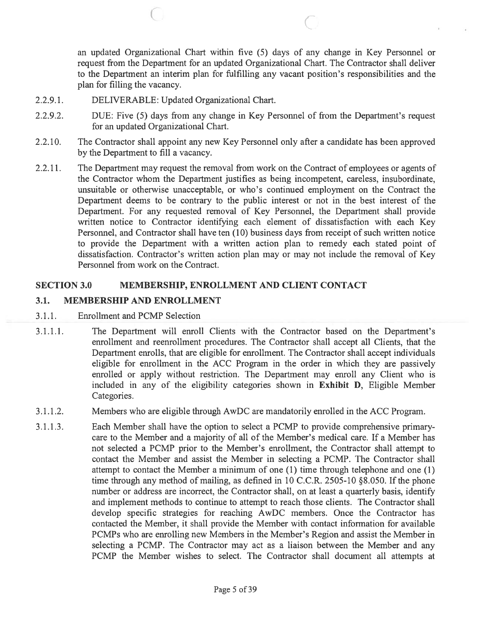an updated Organizational Chart within five (5) days of any change in Key Personnel or reques<sup>t</sup> from the Department for an updated Organizational Chart. The Contractor shall deliver to the Department an interim plan for fulfilling any vacant position's responsibilities and the plan for filling the vacancy.

- 2.2.9.1. DELIVERABLE: Updated Organizational Chart.
- 2.2.9.2. DUE: Five (5) days from any change in Key Personnel of from the Department's reques<sup>t</sup> for an updated Organizational Chart.

 $\begin{array}{ccc} \circ & \circ & \circ \end{array}$ 

- 2.2.10. The Contractor shall appoint any new Key Personnel only after <sup>a</sup> candidate has been approved by the Department to fill <sup>a</sup> vacancy.
- 2.2.11. The Department may request the removal from work on the Contract of employees or agents of the Contractor whom the Department justifies as being incompetent, careless, insubordinate, unsuitable or otherwise unacceptable, or who's continued employment on the Contract the Department deems to be contrary to the public interest or not in the best interest of the Department. For any requested removal of Key Personnel, the Department shall provide written notice to Contractor identifying each element of dissatisfaction with each Key Personnel, and Contractor shall have ten (10) business days from receipt of such written notice to provide the Department with <sup>a</sup> written action plan to remedy each stated point of dissatisfaction. Contractor's written action plan may or may not include the removal of Key Personnel from work on the Contract.

### SECTION 3.0 MEMBERSHIP, ENROLLMENT AND CLIENT CONTACT

### 3.1. MEMBERSHIP AND ENROLLMENT

- 3.1.1. Enrollment and PCMP Selection
- 3.1.1.1. The Department will enroll Clients with the Contractor based on the Department's enrollment and reenrollment procedures. The Contractor shall accep<sup>t</sup> all Clients, that the Department enrolls, that are eligible for enrollment. The Contractor shall accep<sup>t</sup> individuals eligible for enrollment in the ACC Program in the order in which they are passively enrolled or apply without restriction. The Department may enroll any Client who is included in any of the eligibility categories shown in Exhibit D, Eligible Member Categories.
- 3.1.1.2. Members who are eligible through AwDC are mandatorily enrolled in the ACC Program.
- 3.1.1.3. Each Member shall have the option to select <sup>a</sup> PCMP to provide comprehensive primarycare to the Member and <sup>a</sup> majority of all of the Member's medical care. If <sup>a</sup> Member has not selected <sup>a</sup> PCMP prior to the Member's enrollment, the Contractor shall attempt to contact the Member and assist the Member in selecting <sup>a</sup> PCMP. The Contractor shall attempt to contact the Member <sup>a</sup> minimum of one (1) time through telephone and one (1) time through any method of mailing, as defined in 10 C.C.R. 2505-10 §8.050. If the phone number or address are incorrect, the Contractor shall, on at least <sup>a</sup> quarterly basis, identify and implement methods to continue to attempt to reach those clients. The Contractor shall develop specific strategies for reaching AwDC members. Once the Contractor has contacted the Member, it shall provide the Member with contact information for available PCMPs who are enrolling new Members in the Member's Region and assist the Member in selecting <sup>a</sup> PCMP. The Contractor may act as <sup>a</sup> liaison between the Member and any PCMP the Member wishes to select. The Contractor shall document all attempts at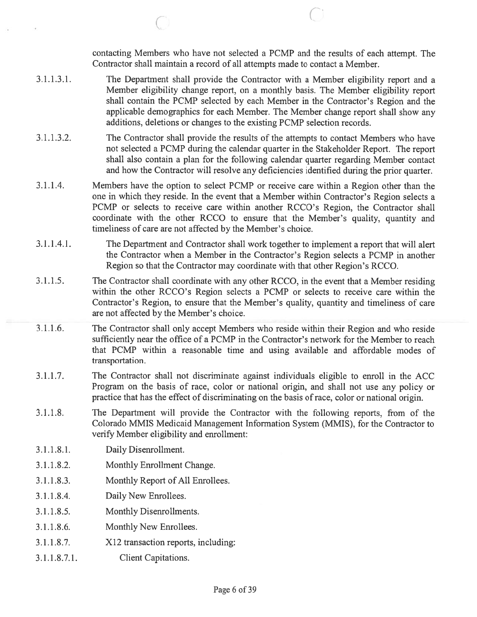contacting Members who have not selected <sup>a</sup> PCMP and the results of each attempt. The Contractor shall maintain <sup>a</sup> record of all attempts made to contact <sup>a</sup> Member.

I

- 3.1.1.3.1. The Department shall provide the Contractor with <sup>a</sup> Member eligibility repor<sup>t</sup> and <sup>a</sup> Member eligibility change report, on <sup>a</sup> monthly basis. The Member eligibility repor<sup>t</sup> shall contain the PCMP selected by each Member in the Contractor's Region and the applicable demographics for each Member. The Member change repor<sup>t</sup> shall show any additions, deletions or changes to the existing PCMP selection records.
- 3.1.1.3.2. The Contractor shall provide the results of the attempts to contact Members who have not selected <sup>a</sup> PCMP during the calendar quarter in the Stakeholder Report. The repor<sup>t</sup> shall also contain <sup>a</sup> plan for the following calendar quarter regarding Member contact and how the Contractor will resolve any deficiencies identified during the prior quarter.
- 3.1.1.4. Members have the option to select PCMP or receive care within <sup>a</sup> Region other than the one in which they reside. In the event that <sup>a</sup> Member within Contractor's Region selects <sup>a</sup> PCMP or selects to receive care within another RCCO's Region, the Contractor shall coordinate with the other RCCO to ensure that the Member's quality, quantity and timeliness of care are not affected by the Member's choice.
- 3.1.1.4.1. The Department and Contractor shall work together to implement <sup>a</sup> repor<sup>t</sup> that will alert the Contractor when <sup>a</sup> Member in the Contractor's Region selects <sup>a</sup> PCMP in another Region so that the Contractor may coordinate with that other Region's RCCO.
- 3.1.1.5. The Contractor shall coordinate with any other RCCO, in the event that <sup>a</sup> Member residing within the other RCCO's Region selects <sup>a</sup> PCMP or selects to receive care within the Contractor's Region, to ensure that the Member's quality, quantity and timeliness of care are not affected by the Member's choice.
- 3.1.1.6. The Contractor shall oniy accep<sup>t</sup> Members who reside within their Region and who reside sufficiently near the office of <sup>a</sup> PCMP in the Contractor's network for the Member to reach that PCMP within <sup>a</sup> reasonable time and using available and affordable modes of transportation.
- 3.1.1.7. The Contractor shall not discriminate against individuals eligible to enroll in the ACC Program on the basis of race, color or national origin, and shall not use any policy or practice that has the effect of discriminating on the basis ofrace, color or national origin.
- 3.1.1.8. The Department will provide the Contractor with the following reports, from of the Colorado MMIS Medicaid Management Information System (MMIS), for the Contractor to verify Member eligibility and enrollment:
- 3.1.1.8.1. Daily Disenrollment.
- 3.1.1.8.2. Monthly Enrollment Change.
- 3.1.1.8.3. Monthly Report of All Enrollees.
- 3.1.1.8.4. Daily New Enrollees.
- 3.1.1.8.5. Monthly Disenrollments.
- 3.1.1.8.6. Monthly New Enrollees.
- 3.1.1.8.7. X12 transaction reports, including:
- 3.1.1.8.7.1. Client Capitations.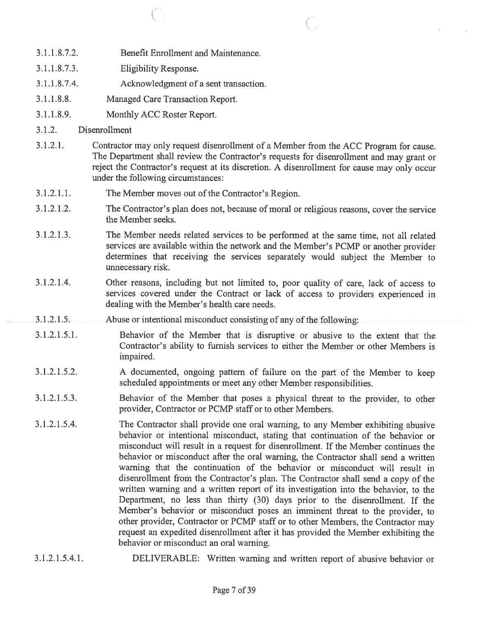- 3.1.1.8.7.2. Benefit Enrollment and Maintenance.
- 3.1.1.8.7.3. Eligibility Response.
- 3.1.1.8.7.4. Acknowledgment of <sup>a</sup> sent transaction.
- 3.1.1.8.8. Managed Care Transaction Report.
- 3.1.1.8.9. Monthly ACC Roster Report.
- 3.1.2. Disenrollment
- 3.1.2.1. Contractor may only reques<sup>t</sup> disenrollment of <sup>a</sup> Member from the ACC Program for cause. The Department shall review the Contractor's requests for disenrollment and may gran<sup>t</sup> or reject the Contractor's request at its discretion. A disenrollment for cause may only occur under the following circumstances:

 $\begin{array}{ccc} \circ & \circ & \circ \end{array}$ 

- 3.1.2.1.1. The Member moves out of the Contractor's Region.
- 3.1.2.1.2. The Contractor's plan does not, because of moral or religious reasons, cover the service the Member seeks.
- 3.1.2.1.3. The Member needs related services to be performed at the same time, not all related services are available within the network and the Member's PCMP or another provider determines that receiving the services separately would subject the Member to unnecessary risk.
- 3.1.2.1.4. Other reasons, including but not limited to, poor quality of care, lack of access to services covered under the Contract or lack of access to providers experienced in dealing with the Member's health care needs.
- 3.1.2.1.5. Abuse or intentional misconduct consisting of any of the following:
- 3.1.2.1.5.1. Behavior of the Member that is disruptive or abusive to the extent that the Contractor's ability to furnish services to either the Member or other Members is impaired.
- 3.1.2.1.5.2. <sup>A</sup> documented, ongoing pattern of failure on the par<sup>t</sup> of the Member to keep scheduled appointments or meet any other Member responsibilities.
- 3.1.2.1.5.3. Behavior of the Member that poses <sup>a</sup> <sup>p</sup>hysical threat to the provider, to other provider, Contractor or PCMP staff or to other Members.
- 3.1.2.1.5.4. The Contractor shall provide one oral warning, to any Member exhibiting abusive behavior or intentional misconduct, stating that continuation of the behavior or misconduct will result in <sup>a</sup> reques<sup>t</sup> for disenrollment. If the Member continues the behavior or misconduct after the oral warning, the Contractor shall send <sup>a</sup> written warning that the continuation of the behavior or misconduct will result in disenrollment from the Contractor's <sup>p</sup>lan. The Contractor shall send <sup>a</sup> copy of the written warning and <sup>a</sup> written repor<sup>t</sup> of its investigation into the behavior, to the Department, no less than thirty (30) days prior to the disenrollment. If the Member's behavior or misconduct poses an imminent threat to the provider, to other provider, Contractor or PCMP staff or to other Members, the Contractor may reques<sup>t</sup> an expedited disenroilment after it has provided the Member exhibiting the behavior or misconduct an oral warning.
- 3.1.2.1.5.4.1. DELIVERABLE: Written warning and written repor<sup>t</sup> of abusive behavior or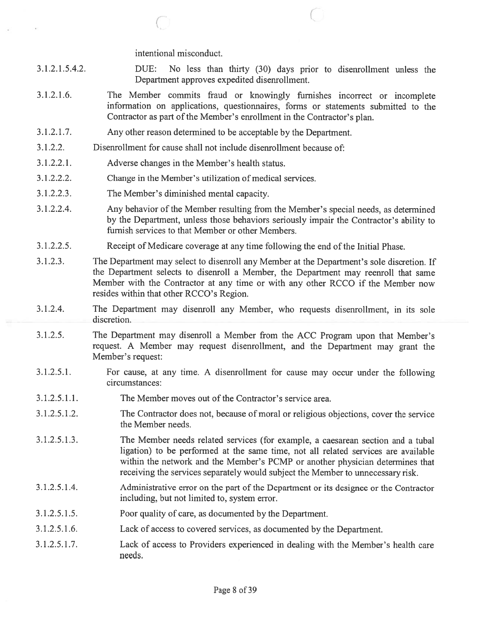intentional misconduct.

(

DUE: No less than thirty (30) days prior to disenroliment unless the Department approves expedited disenrollment. 3.1.2.1.5.4.2.

(

- The Member commits fraud or knowingly furnishes incorrect or incomplete information on applications, questionnaires, fonns or statements submitted to the Contractor as par<sup>t</sup> of the Member's enrollment in the Contractor's <sup>p</sup>lan. 3.1.2.1.6.
- Any other reason determined to be acceptable by the Department. 3.1.2.1.7.
- Disenrollment for cause shall not include disenrollment because of: 3.1.2.2.
- Adverse changes in the Member's health status. 3.1.2.2.1.
- Change in the Member's utilization of medical services. 3.1.2.2.2.
- The Member's diminished mental capacity. 3.1.2.2.3.
- Any behavior of the Member resulting from the Member's special needs, as determined by the Department, unless those behaviors seriously impair the Contractor's ability to furnish services to that Member or other Members. 3.1.2.2.4.
- Receipt of Medicare coverage at any time following the end of the Initial Phase. 3.1.2.2.5.
- The Department may select to disenroll any Member at the Department's sole discretion. If the Department selects to disenroll <sup>a</sup> Member, the Department may reenroll that same Member with the Contractor at any time or with any other RCCO if the Member now resides within that other RCCO's Region. 3.1.2.3.
- The Department may disenroll any Member, who requests disenroliment, in its sole discretion. 3.1.2.4.
- The Department may disenroll <sup>a</sup> Member from the ACC Program upon that Member's request. <sup>A</sup> Member may reques<sup>t</sup> disenrollment, and the Department may gran<sup>t</sup> the Member's request: 3.1.2.5.
- For cause, at any time. A disenrollment for cause may occur under the following circumstances: 3.1.2.5.1.
- The Member moves out of the Contractor's service area. 3.1.2.5.1.1.
- The Contractor does not, because of moral or religious objections, cover the service the Member needs. 3.1.2.5.1.2.
- The Member needs related services (for example, <sup>a</sup> caesarean section and <sup>a</sup> tubal ligation) to be performed at the same time, not all related services are available within the network and the Member's PCMP or another <sup>p</sup>hysician determines that receiving the services separately would subject the Member to unnecessary risk. 3.1.2.5.1.3.
- Administrative error on the par<sup>t</sup> of the Department or its designee or the Contractor including, but not limited to, system error. 3.1.2.5.1.4.
- Poor quality of care, as documented by the Department. 3.1.2.5.1.5.
- Lack of access to covered services, as documented by the Department. 3.1.2.5.1.6.
- Lack of access to Providers experienced in dealing with the Member's health care needs. 3.1.2.5.1.7.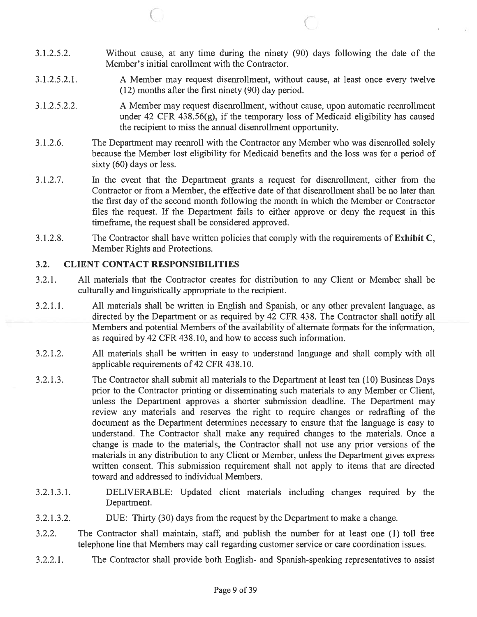- 3.1.2.5.2. Without cause, at any time during the ninety (90) days following the date of the Member's initial enrollment with the Contractor.
- 3.1.2.5.2.1. A Member may reques<sup>t</sup> disenrollment, without cause, at least once every twelve (12) months after the first ninety (90) day period.
- 3.1.2.5.2.2. A Member may reques<sup>t</sup> disenrollrnent, without cause, upon automatic reenroliment under 42 CFR 438.56 $(g)$ , if the temporary loss of Medicaid eligibility has caused the recipient to miss the annual disenrollment opportunity.
- 3.1.2.6. The Department may reenroll with the Contractor any Member who was disenrolled solely because the Member lost eligibility for Medicaid benefits and the loss was for <sup>a</sup> period of sixty (60) days or less.
- 3.1.2.7. In the event that the Department grants <sup>a</sup> reques<sup>t</sup> for disenrollment, either from the Contractor or from <sup>a</sup> Member, the effective date of that disenrollment shall be no later than the first day of the second month following the month in which the Member or Contractor files the request. If the Department fails to either approve or deny the reques<sup>t</sup> in this timefrarne, the reques<sup>t</sup> shall be considered approved.
- 3.1.2.8. The Contractor shall have written policies that comply with the requirements of Exhibit C, Member Rights and Protections.

## 3.2. CLIENT CONTACT RESPONSIBILITIES

C

- 3.2.1. All materials that the Contractor creates for distribution to any Client or Member shall be culturally and linguistically appropriate to the recipient.
- 3.2.1.1. All materials shall be written in English and Spanish, or any other prevalent language, as directed by the Department or as required by 42 CFR 438. The Contractor shall notify all Members and potential Members of the availability of alternate formats for the information, as required by 42 CFR 438.10, and how to access such information.
- 3.2.1.2. All materials shall be written in easy to understand language and shall comply with all applicable requirements of 42 CFR 438.10.
- 3.2.1.3. The Contractor shall submit all materials to the Department at least ten (10) Business Days prior to the Contractor printing or disseminating such materials to any Member or Client, unless the Department approves <sup>a</sup> shorter submission deadline. The Department may review any materials and reserves the right to require changes or redrafting of the document as the Department determines necessary to ensure that the language is easy to understand. The Contractor shall make any required changes to the materials. Once <sup>a</sup> change is made to the materials, the Contractor shall not use any prior versions of the materials in any distribution to any Client or Member, unless the Department gives express written consent. This submission requirement shall not apply to items that are directed toward and addressed to individual Members.
- 3.2.1.3.1. DELIVERABLE: Updated client materials including changes required by the Department.
- 3.2.1.3.2. DUE: Thirty (30) days from the reques<sup>t</sup> by the Department to make <sup>a</sup> change.
- 3.2.2. The Contractor shall maintain, staff, and publish the number for at least one (1) toll free telephone line that Members may call regarding customer service or care coordination issues.
- 3.2.2.1. The Contractor shall provide both English- and Spanish-speaking representatives to assist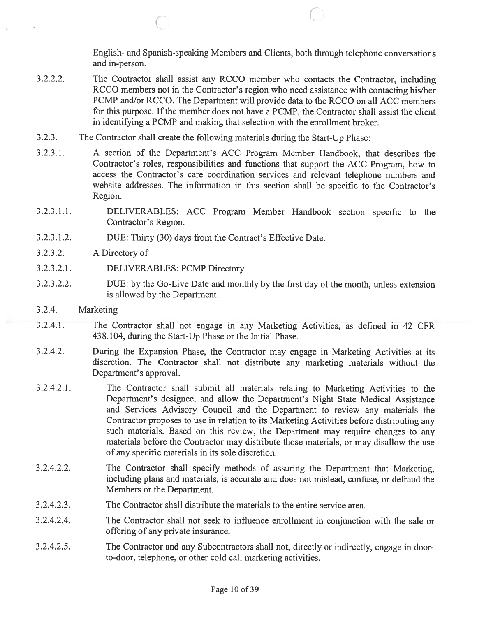English- and Spanish-speaking Members and Clients, both through telephone conversations and in-person.

- 3.2.2.2. The Contractor shall assist any RCCO member who contacts the Contractor, including RCCO members not in the Contractor's region who need assistance with contacting his/her PCMP and/or RCCO. The Department will provide data to the RCCO on all ACC members for this purpose. If the member does not have <sup>a</sup> PCMP, the Contractor shall assist the client in identifying <sup>a</sup> PCMP and making that selection with the enrollment broker.
- 3.2.3. The Contractor shall create the following materials during the Start-Up Phase:
- 3.2.3.1. A section of the Department's ACC Program Member Handbook, that describes the Contractor's roles, responsibilities and functions that suppor<sup>t</sup> the ACC Program, how to access the Contractor's care coordination services and relevant telephone numbers and website addresses. The information in this section shall be specific to the Contractor's Region.
- 3.2.3.1.1. DELIVERABLES: ACC Program Member Handbook section specific to the Contractor's Region.
- 3.2.3.1.2. DUE: Thirty (30) days from the Contract's Effective Date.

(-

- 3.2.3.2. A Directory of
- 3.2.3.2.1. DELIVERABLES: PCMP Directory.
- 3.2.3.2.2. DUE: by the Go-Live Date and monthly by the first day of the month, unless extension is allowed by the Department.
- 3.2.4. Marketing
- 3.2.4.1. The Contractor shall not engage in any Marketing Activities, as defined in 42 CFR 438.104, during the Start-Up Phase or the Initial Phase.
- 3.2.4.2. During the Expansion Phase, the Contractor may engage in Marketing Activities at its discretion. The Contractor shall not distribute any marketing materials without the Department's approval.
- 3.2.4.2.1. The Contractor shall submit all materials relating to Marketing Activities to the Department's designee, and allow the Department's Night State Medical Assistance and Services Advisory Council and the Department to review any materials the Contractor proposes to use in relation to its Marketing Activities before distributing any such materials. Based on this review, the Department may require changes to any materials before the Contractor may distribute those materials, or may disallow the use of any specific materials in its sole discretion.
- 3.2.4.2.2. The Contractor shall specify methods of assuring the Department that Marketing, including plans and materials, is accurate and does not mislead, confuse, or defraud the Members or the Department.
- 3.2.4.2.3. The Contractor shall distribute the materials to the entire service area.
- 3.2.4.2.4. The Contractor shall not seek to influence enrollment in conjunction with the sale or offering of any private insurance.
- 3.2.4.2.5. The Contractor and any Subcontractors shall not, directly or indirectly, engage in door to-door, telephone, or other cold call marketing activities.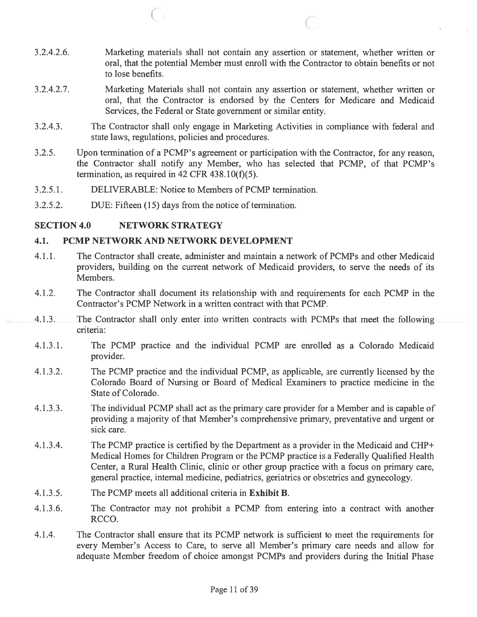3.2.4.2.6. Marketing materials shall not contain any assertion or statement, whether written or oral, that the potential Member must enroll with the Contractor to obtain benefits or not to lose benefits.

C, <sup>C</sup>

- 3.2.4.2.7. Marketing Materials shall not contain any assertion or statement, whether written or oral, that the Contractor is endorsed by the Centers for Medicare and Medicaid Services, the Federal or State governmen<sup>t</sup> or similar entity.
- 3.2.4.3. The Contractor shall only engage in Marketing Activities in compliance with federal and state laws, regulations, policies and procedures.
- 3.2.5. Upon termination of a PCMP's agreement or participation with the Contractor, for any reason, the Contractor shall notify any Member, who has selected that PCMP, of that PCMP's termination, as required in 42 CFR  $438.10(f)(5)$ .
- 3.2.5.1. DELIVERABLE: Notice to Members of PCMP termination.
- 3.2.5.2. DUE: Fifteen (15) days from the notice of termination.

### SECTION 4.0 NETWORK STRATEGY

#### 4.1. PCMP NETWORK AND NETWORK DEVELOPMENT

- 4.1.1. The Contractor shall create, administer and maintain <sup>a</sup> network of PCMPs and other Medicaid providers, building on the current network of Medicaid providers, to serve the needs of its Members.
- 4.1.2. The Contractor shall document its relationship with and requirements for each PCMP in the Contractor's PCMP Network in <sup>a</sup> written contract with that PCMP.
- 4.1.3. The Contractor shall only enter into written contracts with PCMPs that meet the following criteria:
- 4.1.3.1. The PCMP practice and the individual PCMP are enrolled as <sup>a</sup> Colorado Medicaid provider.
- 4.1.3.2. The PCMP practice and the individual PCMP, as applicable, are currently licensed by the Colorado Board of Nursing or Board of Medical Examiners to practice medicine in the State of Colorado.
- 4.1.3.3. The individual PCMP shall act as the primary care provider for <sup>a</sup> Member and is capable of providing <sup>a</sup> majority of that Member's comprehensive primary, preventative and urgen<sup>t</sup> or sick care.
- 4.1.3.4. The PCMP practice is certified by the Department as <sup>a</sup> provider in the Medicaid and CHP+ Medical Homes for Children Program or the PCMP practice is <sup>a</sup> Federally Qualified Health Center, <sup>a</sup> Rural Health Clinic, clinic or other group practice with <sup>a</sup> focus on primary care, general practice, internal medicine, pediatrics, geriatrics or obstetrics and gynecology.
- 4.1.3.5. The PCMP meets all additional criteria in Exhibit B.
- 4.1.3.6. The Contractor may not prohibit <sup>a</sup> PCMP from entering into <sup>a</sup> contract with another RCCO.
- 4.1.4. The Contractor shall ensure that its PCMP network is sufficient to meet the requirements for every Member's Access to Care, to serve all Member's primary care needs and allow for adequate Member freedom of choice amongs<sup>t</sup> PCMPs and providers during the Initial Phase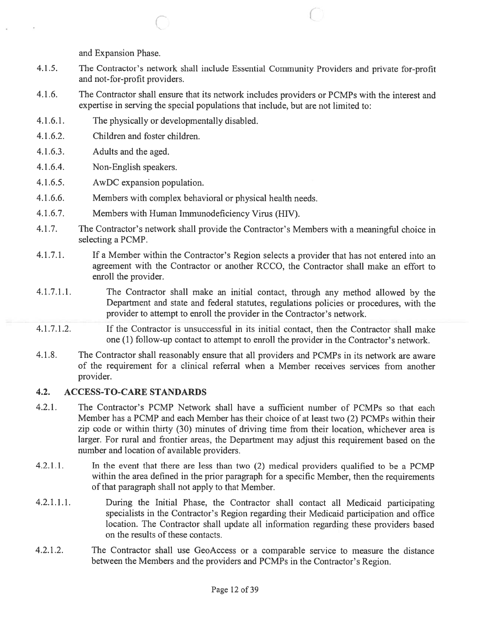and Expansion Phase.

- 4.1.5. The Contractor's network shall include Essential Community Providers and private for-profit and not-for-profit providers.
- 4.1.6. The Contractor shall ensure that its network includes providers or PCMPs with the interest and expertise in serving the special populations that include, but are not limited to:
- 4.1.6.1. The physically or developmentally disabled.

c

- 4.1 .6.2. Children and foster children.
- 4.1.6.3. Adults and the aged.
- 4.1.6.4. Non-English speakers.
- 4.1.6.5. AwDC expansion population.
- 4.1.6.6. Members with complex behavioral or physical health needs.
- 4.1.6.7. Members with Human Immunodeficiency Virus (HIV).
- 4.1.7. The Contractor's network shall provide the Contractor's Members with <sup>a</sup> meaningful choice in selecting <sup>a</sup> PCMP.
- 4.1.7.1. If <sup>a</sup> Member within the Contractor's Region selects <sup>a</sup> provider that has not entered into an agreemen<sup>t</sup> with the Contractor or another RCCO, the Contractor shall make an effort to enroll the provider.
- 4.1.7.1.1. The Contractor shall make an initial contact, through any method allowed by the Department and state and federal statutes, regulations policies or procedures, with the provider to attempt to enroll the provider in the Contractor's network.
- 4.1.7.1.2. If the Contractor is unsuccessful in its initial contact, then the Contractor shall make one (1) follow-up contact to attempt to enroll the provider in the Contractor's network.
- 4.1.8. The Contractor shall reasonably ensure that all providers and PCMPs in its network are aware of the requirement for <sup>a</sup> clinical referral when <sup>a</sup> Member receives services from another provider.

### 4.2. ACCESS-TO-CARE STANDARDS

- 4.2.1. The Contractor's PCMP Network shall have <sup>a</sup> sufficient number of PCMPs so that each Member has <sup>a</sup> PCMP and each Member has their choice of at least two (2) PCMPs within their zip code or within thirty (30) minutes of driving time from their location, whichever area is larger. For rural and frontier areas, the Department may adjust this requirement based on the number and location of available providers.
- 4.2.1.1. In the event that there are less than two (2) medical providers qualified to be <sup>a</sup> PCMP within the area defined in the prior paragraph for <sup>a</sup> specific Member, then the requirements of that paragraph shall not apply to that Member.
- 4.2.1.1.1. During the Initial Phase, the Contractor shall contact all Medicaid participating specialists in the Contractor's Region regarding their Medicaid participation and office location. The Contractor shall update all information regarding these providers based on the results of these contacts.
- 4.2.1.2. The Contractor shall use GeoAccess or <sup>a</sup> comparable service to measure the distance between the Members and the providers and PCMPs in the Contractor's Region.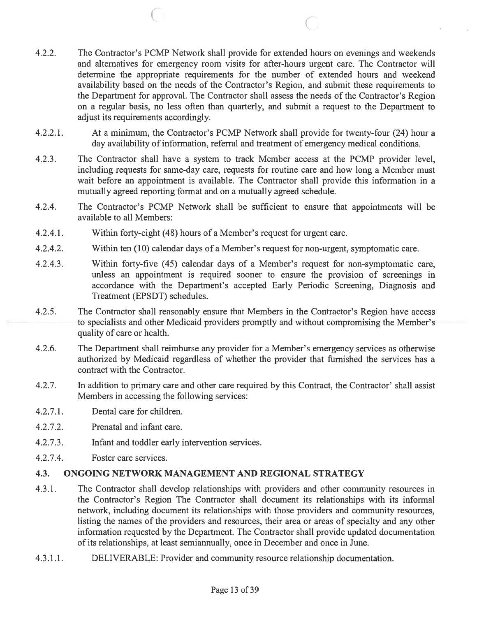- 4.2.2. The Contractor's PCMP Network shall provide for extended hours on evenings and weekends and alternatives for emergency room visits for after-hours urgen<sup>t</sup> care. The Contractor will determine the appropriate requirements for the number of extended hours and weekend availability based on the needs of the Contractor's Region, and submit these requirements to the Department for approval. The Contractor shall assess the needs of the Contractor's Region on <sup>a</sup> regular basis, no less often than quarterly, and submit <sup>a</sup> reques<sup>t</sup> to the Department to adjust its requirements accordingly.
- 4.2.2.1. At <sup>a</sup> minimum, the Contractor's PCMP Network shall provide for twenty-four (24) hour <sup>a</sup> day availability of information, referral and treatment of emergency medical conditions.
- 4.2.3. The Contractor shall have <sup>a</sup> system to track Member access at the PCMP provider level, including requests for same-day care, requests for routine care and how long <sup>a</sup> Member must wait before an appointment is available. The Contractor shall provide this information in <sup>a</sup> mutually agreed reporting format and on <sup>a</sup> mutually agreed schedule.
- 4.2.4. The Contractor's PCMP Network shall be sufficient to ensure that appointments will be available to all Members:
- 4.2.4.1. Within forty-eight (48) hours of <sup>a</sup> Member's reques<sup>t</sup> for urgen<sup>t</sup> care.

C

- 4.2.4.2. Within ten (10) calendar days of <sup>a</sup> Member's reques<sup>t</sup> for non-urgent, symptomatic care.
- 4.2.4.3. Within forty-five (45) calendar days of <sup>a</sup> Member's reques<sup>t</sup> for non-symptomatic care, unless an appointment is required sooner to ensure the provision of screenings in accordance with the Department's accepted Early Periodic Screening, Diagnosis and Treatment (EPSDT) schedules.
- 4.2.5. The Contractor shall reasonably ensure that Members in the Contractor's Region have access to specialists and other Medicaid providers promptly and without compromising the Member's quality of care or health.
- 4.2.6. The Department shall reimburse any provider for <sup>a</sup> Member's emergency services as otherwise authorized by Medicaid regardless of whether the provider that furnished the services has <sup>a</sup> contract with the Contractor.
- 4.2.7. In addition to primary care and other care required by this Contract, the Contractor' shall assist Members in accessing the following services:
- 4.2.7.1. Dental care for children.
- 4.2.7.2. Prenatal and infant care.
- 4.2.7.3. Infant and toddler early intervention services.
- 4.2.7.4. Foster care services.

## 4.3. ONGOING NETWORK MANAGEMENT AND REGIONAL STRATEGY

- 4.3.1. The Contractor shall develop relationships with providers and other community resources in the Contractor's Region The Contractor shall document its relationships with its informal network, including document its relationships with those providers and community resources, listing the names of the providers and resources, their area or areas of specialty and any other information requested by the Department. The Contractor shall provide updated documentation of its relationships, at least semiannually, once in December and once in June.
- 4.3.1.1. DELIVERABLE: Provider and community resource relationship documentation.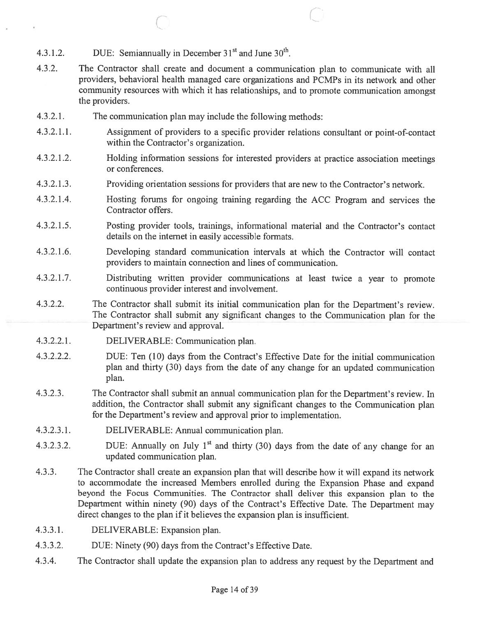- 4.3.1.2. DUE: Semiannually in December  $31<sup>st</sup>$  and June  $30<sup>th</sup>$ .
- 4.3.2. The Contractor shall create and document <sup>a</sup> communication <sup>p</sup>lan to communicate with all providers, behavioral health managed care organizations and PCMPs in its network and other community resources with which it has relationships, and to promote communication amongs<sup>t</sup> the providers.

C

- 4.3.2.1. The communication plan may include the following methods:
- 4.3.2.1.1. Assignment of providers to <sup>a</sup> specific provider relations consultant or point-of-contact within the Contractor's organization.
- 4.3.2.1.2. Holding information sessions for interested providers at practice association meetings or conferences.
- 4.3.2.1.3. Providing orientation sessions for providers that are new to the Contractor's network.
- 4.3.2.1.4. Hosting forums for ongoing training regarding the ACC Program and services the Contractor offers.
- 4.3.2.1.5. Posting provider tools, trainings, informational material and the Contractor's contact details on the internet in easily accessible formats.
- 4.3.2.1.6. Developing standard communication intervals at which the Contractor will contact providers to maintain connection and lines of communication.
- 4.3.2.1.7. Distributing written provider communications at least twice <sup>a</sup> year to promote continuous provider interest and involvement.
- 4.3.2.2. The Contractor shall submit its initial communication <sup>p</sup>lan for the Department's review. The Contractor shall submit any significant changes to the Communication <sup>p</sup>lan for the Department's review and approval.
- 4.3.2.2.1. DELIVERABLE: Communication plan.
- 4.3.2.2.2. DUE: Ten (10) days from the Contract's Effective Date for the initial communication <sup>p</sup>lan and thirty (30) days from the date of any change for an updated communication plan.
- 4.3.2.3. The Contractor shall submit an annual communication <sup>p</sup>lan for the Department's review. In addition, the Contractor shall submit any significant changes to the Communication <sup>p</sup>lan for the Department's review and approval prior to implementation.
- 4.3.2.3.1. DELIVERABLE: Annual communication plan.
- 4.3.2.3.2. DUE: Annually on July 1<sup>st</sup> and thirty (30) days from the date of any change for an updated communication plan.
- 4.3.3. The Contractor shall create an expansion <sup>p</sup>lan that will describe how it will expand its network to accommodate the increased Members enrolled during the Expansion Phase and expan<sup>d</sup> beyond the Focus Communities. The Contractor shall deliver this expansion <sup>p</sup>lan to the Department within ninety (90) days of the Contract's Effective Date. The Department may direct changes to the plan if it believes the expansion plan is insufficient.
- 4.3.3.1. DELIVERABLE: Expansion plan.
- 4.3.3.2. DUE: Ninety (90) days from the Contract's Effective Date.
- 4.3.4. The Contractor shall update the expansion <sup>p</sup>lan to address any reques<sup>t</sup> by the Department and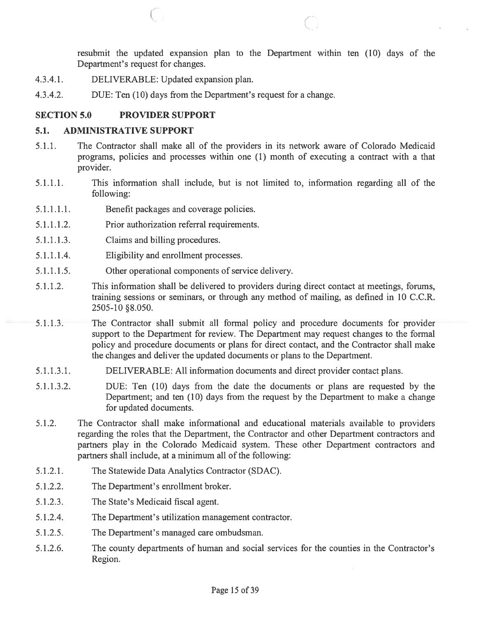resubmit the updated expansion plan to the Department within ten (10) days of the Department's reques<sup>t</sup> for changes.

- 4.3.4.1. DELIVERABLE: Updated expansion plan.
- 4.3.4.2. DUE: Ten (10) days from the Department's reques<sup>t</sup> for <sup>a</sup> change.

#### SECTION 5.0 PROVIDER SUPPORT

#### 5.1. ADMINISTRATIVE SUPPORT

5.1.1. The Contractor shall make all of the providers in its network aware of Colorado Medicaid programs, policies and processes within one (1) month of executing <sup>a</sup> contract with <sup>a</sup> that provider.

 $\circ$   $\circ$   $\circ$ 

- 5.1.1.1. This information shall include, but is not limited to, information regarding all of the following:
- 5.1.1.1.1. Benefit packages and coverage policies.
- 5.1.1.1.2. Prior authorization referral requirements.
- 5.1.1.1.3. Claims and billing procedures.
- 5.1.1.1.4. Eligibility and enrollment processes.
- 5.1.1.1.5. Other operational components of service delivery.
- 5.1.1.2. This information shall be delivered to providers during direct contact at meetings, forums, training sessions or seminars, or through any method of mailing, as defined in 10 C.C.R. 2505-10 §8.050.
- 5.1.1.3. The Contractor shall submit all formal policy and procedure documents for provider suppor<sup>t</sup> to the Department for review. The Department may reques<sup>t</sup> changes to the formal policy and procedure documents or plans for direct contact, and the Contractor shall make the changes and deliver the updated documents or plans to the Department.
- 5.1.1.3.1. DELIVERABLE: All information documents and direct provider contact plans.
- 5.1.1.3.2. DUE: Ten (10) days from the date the documents or plans are requested by the Department; and ten (10) days from the reques<sup>t</sup> by the Department to make <sup>a</sup> change for updated documents.
- 5.1.2. The Contractor shall make informational and educational materials available to providers regarding the roles that the Department, the Contractor and other Department contractors and partners play in the Colorado Medicaid system. These other Department contractors and partners shall include, at <sup>a</sup> minimum all of the following:
- 5.1.2.1. The Statewide Data Analytics Contractor (SDAC).
- 5.1.2.2. The Department's enrollment broker.
- 5.1.2.3. The State's Medicaid fiscal agent.
- 5.1.2.4. The Department's utilization managemen<sup>t</sup> contractor.
- 5.1.2.5. The Department's managed care ombudsman.
- 5.1.2.6. The county departments of human and social services for the counties in the Contractor's Region.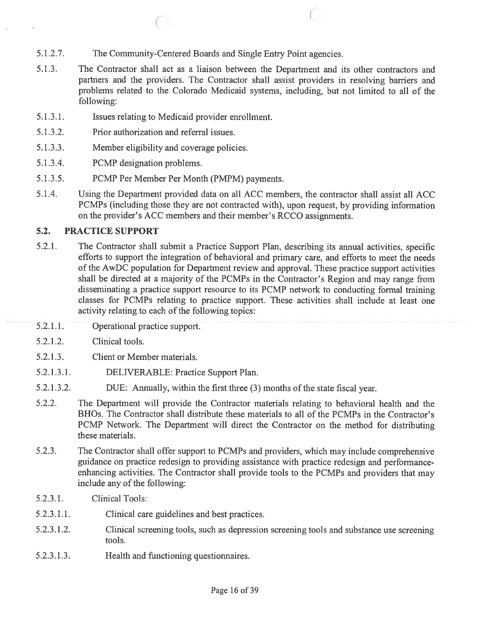- 5.1.2.7. The Community-Centered Boards and Single Entry Point agencies.
- 5.1.3. The Contractor shall act as <sup>a</sup> liaison between the Department and its other contractors and partners and the providers. The Contractor shall assist providers in resolving barriers and problems related to the Colorado Medicaid systems, including, but not limited to all of the following:

 $\circ$  C

- 5.1.3.1. Issues relating to Medicaid provider enrollment.
- 5.1.3.2. Prior authorization and referral issues.
- 5.1.3.3. Member eligibility and coverage policies.
- 5.1.3.4. PCMP designation problems.
- 5.1.3.5. PCMP Per Member Per Month (PMPM) payments.
- 5.1.4. Using the Department provided data on all ACC members, the contractor shall assist all ACC PCMPs (including those they are not contracted with), upon request, by providing information on the provider's ACC members and their member's RCCO assignments.

### 5.2. PRACTICE SUPPORT

- 5.2.1. The Contractor shall submit <sup>a</sup> Practice Support Plan, describing its annual activities, specific efforts to suppor<sup>t</sup> the integration of behavioral and primary care, and efforts to meet the needs of the AwDC population for Department review and approval. These practice suppor<sup>t</sup> activities shall be directed at <sup>a</sup> majority of the PCMPs in the Contractor's Region and may range from disseminating <sup>a</sup> practice suppor<sup>t</sup> resource to its PCMP network to conducting formal training classes for PCMPs relating to practice support. These activities shall include at least one activity relating to each of the following topics:
- 5.2.1.1. Operational practice support.
- 5.2.1.2. Clinical tools.
- 5.2.1.3. Client or Member materials.
- 5.2.1.3.1. DELIVERABLE: Practice Support Plan.
- 5.2.1.3.2. DUE: Annually, within the first three (3) months of the state fiscal year.
- 5.2.2. The Department will provide the Contractor materials relating to behavioral health and the BHOs. The Contractor shall distribute these materials to all of the PCMPs in the Contractor's PCMP Network. The Department will direct the Contractor on the method for distributing these materials.
- 5.2.3. The Contractor shall offer suppor<sup>t</sup> to PCMPs and providers, which may include comprehensive guidance on practice redesign to providing assistance with practice redesign and performanceenhancing activities. The Contractor shall provide tools to the PCMPs and providers that may include any of the following:
- 5.2.3.1. Clinical Tools:
- 5.2.3.1.1. Clinical care guidelines and best practices.
- 5.2.3.1.2. Clinical screening tools, such as depression screening tools and substance use screening tools.
- 5.2.3.1.3. Health and functioning questionnaires.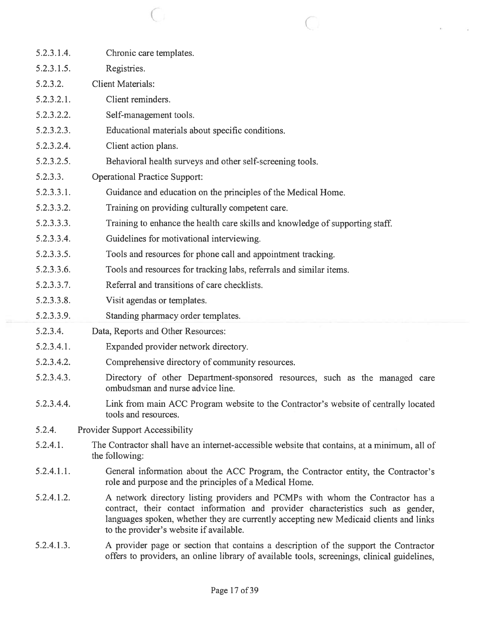| 5.2.3.1.4. | Chronic care templates.                                                                                                                                                                                                                                                                                |
|------------|--------------------------------------------------------------------------------------------------------------------------------------------------------------------------------------------------------------------------------------------------------------------------------------------------------|
| 5.2.3.1.5. | Registries.                                                                                                                                                                                                                                                                                            |
| 5.2.3.2.   | <b>Client Materials:</b>                                                                                                                                                                                                                                                                               |
| 5.2.3.2.1. | Client reminders.                                                                                                                                                                                                                                                                                      |
| 5.2.3.2.2. | Self-management tools.                                                                                                                                                                                                                                                                                 |
| 5.2.3.2.3. | Educational materials about specific conditions.                                                                                                                                                                                                                                                       |
| 5.2.3.2.4. | Client action plans.                                                                                                                                                                                                                                                                                   |
| 5.2.3.2.5. | Behavioral health surveys and other self-screening tools.                                                                                                                                                                                                                                              |
| 5.2.3.3.   | <b>Operational Practice Support:</b>                                                                                                                                                                                                                                                                   |
| 5.2.3.3.1. | Guidance and education on the principles of the Medical Home.                                                                                                                                                                                                                                          |
| 5.2.3.3.2. | Training on providing culturally competent care.                                                                                                                                                                                                                                                       |
| 5.2.3.3.3. | Training to enhance the health care skills and knowledge of supporting staff.                                                                                                                                                                                                                          |
| 5.2.3.3.4. | Guidelines for motivational interviewing.                                                                                                                                                                                                                                                              |
| 5.2.3.3.5. | Tools and resources for phone call and appointment tracking.                                                                                                                                                                                                                                           |
| 5.2.3.3.6. | Tools and resources for tracking labs, referrals and similar items.                                                                                                                                                                                                                                    |
| 5.2.3.3.7. | Referral and transitions of care checklists.                                                                                                                                                                                                                                                           |
| 5.2.3.3.8. | Visit agendas or templates.                                                                                                                                                                                                                                                                            |
|            |                                                                                                                                                                                                                                                                                                        |
| 5.2.3.3.9. | Standing pharmacy order templates.                                                                                                                                                                                                                                                                     |
| 5.2.3.4.   | Data, Reports and Other Resources:                                                                                                                                                                                                                                                                     |
| 5.2.3.4.1. | Expanded provider network directory.                                                                                                                                                                                                                                                                   |
| 5.2.3.4.2. | Comprehensive directory of community resources.                                                                                                                                                                                                                                                        |
| 5.2.3.4.3. | Directory of other Department-sponsored resources, such as the managed care<br>ombudsman and nurse advice line.                                                                                                                                                                                        |
| 5.2.3.4.4. | Link from main ACC Program website to the Contractor's website of centrally located<br>tools and resources.                                                                                                                                                                                            |
| 5.2.4.     | <b>Provider Support Accessibility</b>                                                                                                                                                                                                                                                                  |
| 5.2.4.1.   | The Contractor shall have an internet-accessible website that contains, at a minimum, all of<br>the following:                                                                                                                                                                                         |
| 5.2.4.1.1. | General information about the ACC Program, the Contractor entity, the Contractor's<br>role and purpose and the principles of a Medical Home.                                                                                                                                                           |
| 5.2.4.1.2. | A network directory listing providers and PCMPs with whom the Contractor has a<br>contract, their contact information and provider characteristics such as gender,<br>languages spoken, whether they are currently accepting new Medicaid clients and links<br>to the provider's website if available. |

 $\begin{array}{ccc} \text{C} & \text{C} & \text{C} \end{array}$ 

g.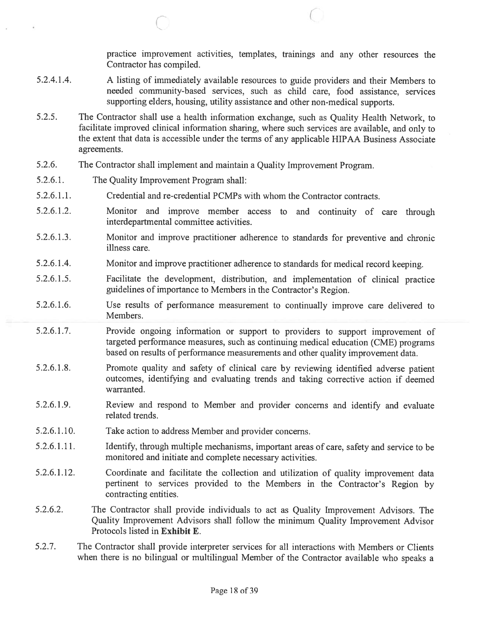practice improvement activities, templates, trainings and any other resources the Contractor has compiled.

5.2.4.1.4. <sup>A</sup> listing of immediately available resources to guide providers and their Members to needed community-based services, such as child care, food assistance, services supporting elders, housing, utility assistance and other non-medical supports.

 $\overline{C}$ 

- 5.2.5. The Contractor shall use <sup>a</sup> health information exchange, such as Quality Health Network, to facilitate improved clinical information sharing, where such services are available, and only to the extent that data is accessible under the terms of any applicable HIPAA Business Associate agreements.
- 5.2.6. The Contractor shall implement and maintain <sup>a</sup> Quality Improvement Program.
- 5.2.6.1. The Quality Improvement Program shall:
- 5.2.6.1.1. Credential and re-credential PCMPs with whom the Contractor contracts.
- 5.2.6.1.2. Monitor and improve member access to and continuity of care through interdepartmental committee activities.
- 5.2.6.1.3. Monitor and improve practitioner adherence to standards for preventive and chronic illness care.
- 5.2.6.1.4. Monitor and improve practitioner adherence to standards for medical record keeping.
- 5.2.6.1.5. Facilitate the development, distribution, and implementation of clinical practice guidelines of importance to Members in the Contractor's Region.
- 5.2.6.1.6. Use results of performance measurement to continually improve care delivered to Members.
- 5.2.6.1.7. Provide ongoing information or suppor<sup>t</sup> to providers to suppor<sup>t</sup> improvement of targeted performance measures, such as continuing medical education (CME) programs based on results of performance measurements and other quality improvement data.
- 5.2.6.1.8. Promote quality and safety of clinical care by reviewing identified adverse patient outcomes, identifying and evaluating trends and taking corrective action if deemed warranted.
- 5.2.6.1.9. Review and respon<sup>d</sup> to Member and provider concerns and identify and evaluate related trends.
- 5.2.6.1.10. Take action to address Member and provider concerns.
- 5.2.6.1 .11. Identify, through multiple mechanisms, important areas of care, safety and service to be monitored and initiate and complete necessary activities.
- 5.2.6.1.12. Coordinate and facilitate the collection and utilization of quality improvement data pertinent to services provided to the Members in the Contractor's Region by contracting entities.
- 5.2.6.2. The Contractor shall provide individuals to act as Quality Improvement Advisors. The Quality Improvement Advisors shall follow the minimum Quality Improvement Advisor Protocols listed in Exhibit E.
- 5.2.7. The Contractor shall provide interpreter services for all interactions with Members or Clients when there is no bilingual or multilingual Member of the Contractor available who speaks <sup>a</sup>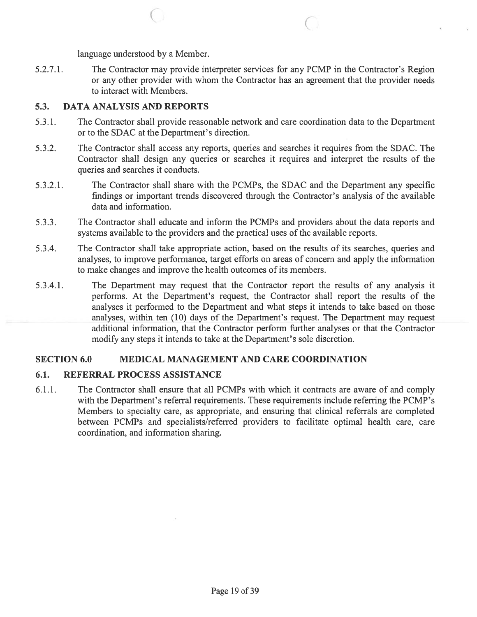language understood by <sup>a</sup> Member.

5.2.7.1. The Contractor may provide interpreter services for any PCMP in the Contractor's Region or any other provider with whom the Contractor has an agreemen<sup>t</sup> that the provider needs to interact with Members.

 $\overline{C}$ 

#### 5.3. DATA ANALYSIS AND REPORTS

- 5.3.1. The Contractor shall provide reasonable network and care coordination data to the Department or to the SDAC at the Department's direction.
- 5.3.2. The Contractor shall access any reports, queries and searches it requires from the SDAC. The Contractor shall design any queries or searches it requires and interpret the results of the queries and searches it conducts.
- 5.3.2.1. The Contractor shall share with the PCMPs, the SDAC and the Department any specific findings or important trends discovered through the Contractor's analysis of the available data and information.
- 5.3.3. The Contractor shall educate and inform the PCMPs and providers about the data reports and systems available to the providers and the practical uses of the available reports.
- 5.3.4. The Contractor shall take appropriate action, based on the results of its searches, queries and analyses, to improve performance, target efforts on areas of concern and apply the information to make changes and improve the health outcomes of its members.
- 5.3.4.1. The Department may reques<sup>t</sup> that the Contractor repor<sup>t</sup> the results of any analysis it performs. At the Department's request, the Contractor shall repor<sup>t</sup> the results of the analyses it performed to the Department and what steps it intends to take based on those analyses, within ten (10) days of the Department's request. The Department may reques<sup>t</sup> additional information, that the Contractor perform further analyses or that the Contractor modify any steps it intends to take at the Department's sole discretion.

### SECTION 6.0 MEDICAL MANAGEMENT AND CARE COORDINATION

### 6.1. REFERRAL PROCESS ASSISTANCE

6.1.1. The Contractor shall ensure that all PCMPs with which it contracts are aware of and comply with the Department's referral requirements. These requirements include referring the PCMP's Members to specialty care, as appropriate, and ensuring that clinical referrals are completed between PCMPs and specialists/referred providers to facilitate optimal health care, care coordination, and information sharing.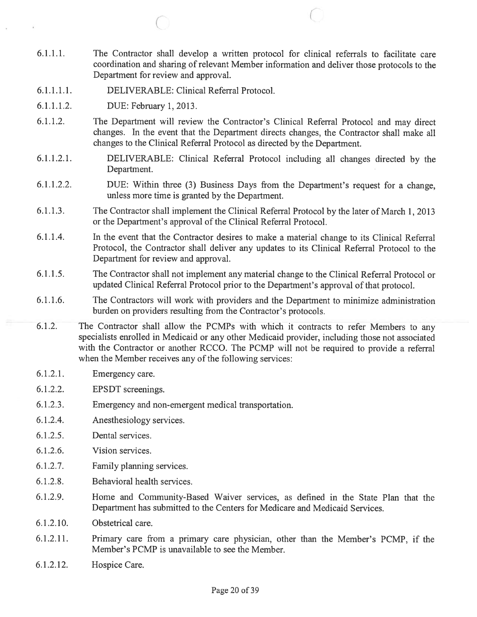- 6.1.1.1. The Contractor shall develop <sup>a</sup> written protocol for clinical referrals to facilitate care coordination and sharing of relevant Member information and deliver those protocols to the Department for review and approval.
- 6.1.1.1.1. DELIVERABLE: Clinical Referral Protocol.

C

- 6.1.1.1.2. DUE: February 1,2013.
- 6.1.1.2. The Department will review the Contractor's Clinical Referral Protocol and may direct changes. In the event that the Department directs changes, the Contractor shall make all changes to the Clinical Referral Protocol as directed by the Department.
- 6.1.1.2.1. DELIVERABLE: Clinical Referral Protocol including all changes directed by the Department.
- 6.1.1.2.2. DUE: Within three (3) Business Days from the Department's reques<sup>t</sup> for <sup>a</sup> change, unless more time is granted by the Department.
- 6.1.1.3. The Contractor shall implement the Clinical Referral Protocol by the later of March 1, <sup>2013</sup> or the Department's approval of the Clinical Referral Protocol.
- 6.1 .1.4. In the event that the Contractor desires to make <sup>a</sup> material change to its Clinical Referral Protocol, the Contractor shall deliver any updates to its Clinical Referral Protocol to the Department for review and approval.
- 6.1.1 .5. The Contractor shall not implement any material change to the Clinical Referral Protocol or updated Clinical Referral Protocol prior to the Department's approval of that protocol.
- 6.1 .1.6. The Contractors will work with providers and the Department to minimize administration burden on providers resulting from the Contractor's protocols.
- 6.1.2. The Contractor shall allow the PCMPs with which it contracts to refer Members to any specialists enrolled in Medicaid or any other Medicaid provider, including those not associated with the Contractor or another RCCO. The PCMP will not be required to provide <sup>a</sup> referral when the Member receives any of the following services:
- 6.1.2.1. Emergency care.
- 6.1.2.2. EPSDT screenings.
- 6.1.2.3. Emergency and non-emergen<sup>t</sup> medical transportation.
- 6.1.2.4. Anesthesiology services.
- 6.1.2.5. Dental services.
- 6.1.2.6. Vision services.
- 6.1.2.7. Family planning services.
- 6.1.2.8. Behavioral health services.
- 6.1.2.9. Home and Community-Based Waiver services, as defined in the State Plan that the Department has submitted to the Centers for Medicare and Medicaid Services.
- 6.1.2.10. Obstetrical care.
- 6.1.2.11. Primary care from <sup>a</sup> primary care physician, other than the Member's PCMP, if the Member's PCMP is unavailable to see the Member.
- 6.1.2.12. Hospice Care.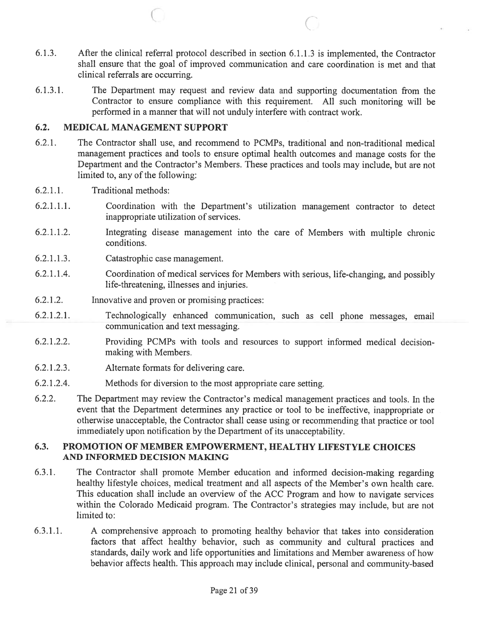- 6.1.3. After the clinical referral protocol described in section 6.1.1.3 is implemented, the Contractor shall ensure that the goal of improved communication and care coordination is met and that clinical referrals are occurring.
- 6.1.3.1. The Department may reques<sup>t</sup> and review data and supporting documentation from the Contractor to ensure compliance with this requirement. All such monitoring will be performed in <sup>a</sup> manner that will not unduly interfere with contract work.

### 6.2. MEDICAL MANAGEMENT SUPPORT

 $(\bar{a})$ 

- 6.2.1. The Contractor shall use, and recommend to PCMPs, traditional and non-traditional medical managemen<sup>t</sup> practices and tools to ensure optimal health outcomes and manage costs for the Department and the Contractor's Members. These practices and tools may include, but are not limited to, any of the following:
- 6.2.1.1. Traditional methods:
- 6.2.1.1.1. Coordination with the Department's utilization managemen<sup>t</sup> contractor to detect inappropriate utilization of services.
- 6.2.1.1.2. Integrating disease managemen<sup>t</sup> into the care of Members with multiple chronic conditions.
- 6.2.1.1.3. Catastrophic case management.
- 6.2.1.1.4. Coordination of medical services for Members with serious, life-changing, and possibly life-threatening, illnesses and injuries.
- 6.2.1.2. Innovative and proven or promising practices:
- 6.2.1.2.1. Technologically enhanced communication, such as cell <sup>p</sup>hone messages, email communication and text messaging.
- 6.2.1.2.2. Providing PCMPs with tools and resources to suppor<sup>t</sup> informed medical decisionmaking with Members.
- 6.2.1 .2.3. Alternate formats for delivering care.
- 6.2.1.2.4. Methods for diversion to the most appropriate care setting.
- 6.2.2. The Department may review the Contractor's medical managemen<sup>t</sup> practices and tools. In the event that the Department detennines any practice or tool to be ineffective, inappropriate or otherwise unacceptable, the Contractor shall cease using or recommending that practice or tool immediately upon notification by the Department of its unacceptability.

### 6.3. PROMOTION OF MEMBER EMPOWERMENT, HEALTHY LIFESTYLE CHOICES AND INFORMED DECISION MAKING

- 6.3.1. The Contractor shall promote Member education and informed decision-making regarding healthy lifestyle choices, medical treatment and all aspects of the Member's own health care. This education shall include an overview of the ACC Program and how to navigate services within the Colorado Medicaid program. The Contractor's strategies may include, but are not limited to:
- 6.3.1.1. A comprehensive approach to promoting healthy behavior that takes into consideration factors that affect healthy behavior, such as community and cultural practices and standards, daily work and life opportunities and limitations and Member awareness of how behavior affects health. This approac<sup>h</sup> may include clinical, persona<sup>l</sup> and community-based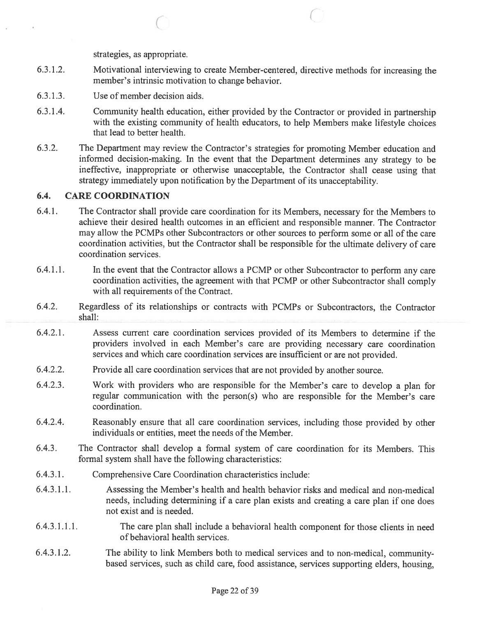strategies, as appropriate.

C

- 6.3.1.2. Motivational interviewing to create Member-centered, directive methods for increasing the member's intrinsic motivation to change behavior.
- 6.3.1.3. Use of member decision aids.
- 6.3.1.4. Community health education, either provided by the Contractor or provided in partnership with the existing community of health educators, to help Members make lifestyle choices that lead to better health.
- 6.3.2. The Department may review the Contractor's strategies for promoting Member education and informed decision-making. In the event that the Department determines any strategy to be ineffective, inappropriate or otherwise unacceptable, the Contractor shall cease using that strategy immediately upon notification by the Department of its unacceptability.

### 6.4. CARE COORDINATION

- 6.4.1. The Contractor shall provide care coordination for its Members, necessary for the Members to achieve their desired health outcomes in an efficient and responsible manner. The Contractor may allow the PCMPs other Subcontractors or other sources to perform some or all of the care coordination activities, but the Contractor shall be responsible for the ultimate delivery of care coordination services.
- 6.4.1.1. In the event that the Contractor allows <sup>a</sup> PCMP or other Subcontractor to perform any care coordination activities, the agreemen<sup>t</sup> with that PCMP or other Subcontractor shall comply with all requirements of the Contract.
- 6.4.2. Regardless of its relationships or contracts with PCMPs or Subcontractors, the Contractor shall:
- 6.4.2.1. Assess current care coordination services provided of its Members to detennine if the providers involved in each Member's care are providing necessary care coordination services and which care coordination services are insufficient or are not provided.
- 6.4.2.2. Provide all care coordination services that are not provided by another source.
- 6.4.2.3. Work with providers who are responsible for the Member's care to develop <sup>a</sup> <sup>p</sup>lan for regular communication with the person(s) who are responsible for the Member's care coordination.
- 6.4.2.4. Reasonably ensure that all care coordination services, including those provided by other individuals or entities, meet the needs of the Member.
- 6.4.3. The Contractor shall develop <sup>a</sup> formal system of care coordination for its Members. This formal system shall have the following characteristics:
- 6.4.3.1. Comprehensive Care Coordination characteristics include:
- 6.4.3.1.1. Assessing the Member's health and health behavior risks and medical and non-medical needs, including determining if <sup>a</sup> care <sup>p</sup>lan exists and creating <sup>a</sup> care <sup>p</sup>lan if one does not exist and is needed.
- 6.4.3.1 .1 .1. The care plan shall include <sup>a</sup> behavioral health componen<sup>t</sup> for those clients in need of behavioral health services.
- 6.4.3.1.2. The ability to link Members both to medical services and to non-medical, community based services, such as child care, food assistance, services supporting elders, housing,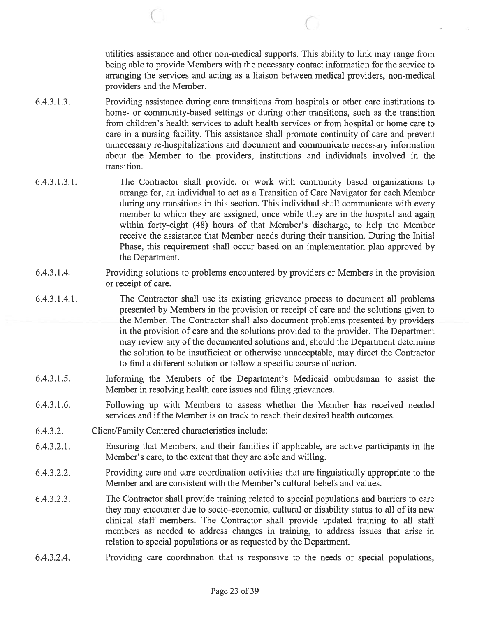utilities assistance and other non-medical supports. This ability to link may range from being able to provide Members with the necessary contact information for the service to arranging the services and acting as <sup>a</sup> liaison between medical providers, non-medical providers and the Member.

6.4.3.1.3. Providing assistance during care transitions from hospitals or other care institutions to home- or community-based settings or during other transitions, such as the transition from children's health services to adult health services or from hospital or home care to care in <sup>a</sup> nursing facility. This assistance shall promote continuity of care and preven<sup>t</sup> unnecessary re-hospitalizations and document and communicate necessary infonnation about the Member to the providers, institutions and individuals involved in the transition.

C C C

- 6.4.3.1.3.1. The Contractor shall provide, or work with community based organizations to arrange for, an individual to act as <sup>a</sup> Transition of Care Navigator for each Member during any transitions in this section. This individual shall communicate with every member to which they are assigned, once while they are in the hospital and again within forty-eight (48) hours of that Member's discharge, to help the Member receive the assistance that Member needs during their transition. During the Initial Phase, this requirement shall occur based on an implementation plan approved by the Department.
- 6.4.3.1.4. Providing solutions to problems encountered by providers or Members in the provision or receipt of care.
- 6.4.3.1 .4.1. The Contractor shall use its existing grievance process to document all problems presented by Members in the provision or receipt of care and the solutions given to the Member. The Contractor shall also document problems presented by providers in the provision of care and the solutions provided to the provider. The Department may review any of the documented solutions and, should the Department determine the solution to be insufficient or otherwise unacceptable, may direct the Contractor to find <sup>a</sup> different solution or follow <sup>a</sup> specific course of action.
- 6.4.3.1.5. Informing the Members of the Department's Medicaid ombudsman to assist the Member in resolving health care issues and filing grievances.
- 6.4.3.1.6. Following up with Members to assess whether the Member has received needed services and if the Member is on track to reach their desired health outcomes.
- 6.4.3.2. Client/Family Centered characteristics include:
- 6.4.3.2.1. Ensuring that Members, and their families if applicable, are active participants in the Member's care, to the extent that they are able and willing.
- 6.4.3.2.2. Providing care and care coordination activities that are linguistically appropriate to the Member and are consistent with the Member's cultural beliefs and values.
- 6.4.3.2.3. The Contractor shall provide training related to special populations and barriers to care they may encounter due to socio-economic, cultural or disability status to all of its new clinical staff members. The Contractor shall provide updated training to all staff members as needed to address changes in training, to address issues that arise in relation to special populations or as requested by the Department.
- 6.4.3.2.4. Providing care coordination that is responsive to the needs of special populations,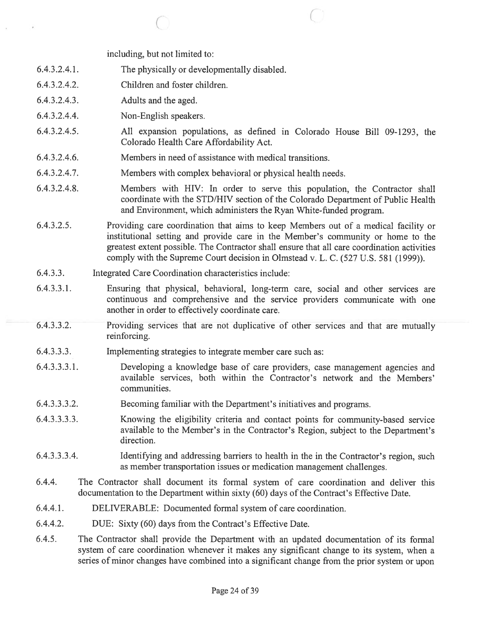including, but not limited to:

- 6.4.3.2.4.1. The physically or developmentally disabled.
- 6.4.3.2.4.2. Children and foster children.
- 6.4.3.2.4.3. Adults and the aged.
- 6.4.3.2.4.4. Non-English speakers.
- 6.4.3.2.4.5. All expansion populations, as defined in Colorado House Bill 09-1293, the Colorado Health Care Affordability Act.

 $\circ$  0

- 6.4.3.2.4.6. Members in need of assistance with medical transitions.
- 6.4.3.2.4.7. Members with complex behavioral or physical health needs.
- 6.4.3.2.4.8. Members with HIV: In order to serve this population, the Contractor shall coordinate with the STD/HIV section of the Colorado Department of Public Health and Environment, which administers the Ryan White-funded program.
- 6.4.3.2.5. Providing care coordination that aims to keep Members out of <sup>a</sup> medical facility or institutional setting and provide care in the Member's community or home to the greatest extent possible. The Contractor shall ensure that all care coordination activities comply with the Supreme Court decision in Olmstead v. L. C. (527 U.S. 581 (1999)).
- 6.4.3.3. Integrated Care Coordination characteristics include:
- 6.4.3.3.1. Ensuring that physical, behavioral, long-term care, social and other services are continuous and comprehensive and the service providers communicate with one another in order to effectively coordinate care.
- 6.4.3.3.2. Providing services that are not duplicative of other services and that are mutually reinforcing.
- 6.4.3.3.3. Implementing strategies to integrate member care such as:
- 6.4.3.3.3.1. Developing <sup>a</sup> knowledge base of care providers, case managemen<sup>t</sup> agencies and available services, both within the Contractor's network and the Members' communities.
- 6.4.3.3.3.2. Becoming familiar with the Department's initiatives and programs.
- 6.4.3.3.3.3. Knowing the eligibility criteria and contact points for community-based service available to the Member's in the Contractor's Region, subject to the Department's direction.
- 6.4.3.3.3.4. Identifying and addressing barriers to health in the in the Contractor's region, such as member transportation issues or medication managemen<sup>t</sup> challenges.
- 6.4.4. The Contractor shall document its formal system of care coordination and deliver this documentation to the Department within sixty (60) days of the Contract's Effective Date.
- 6.4.4.1. DELIVERABLE: Documented formal system of care coordination.
- 6.4.4.2. DUE: Sixty (60) days from the Contract's Effective Date.
- 6.4.5. The Contractor shall provide the Department with an updated documentation of its formal system of care coordination whenever it makes any significant change to its system, when <sup>a</sup> series of minor changes have combined into <sup>a</sup> significant change from the prior system or upon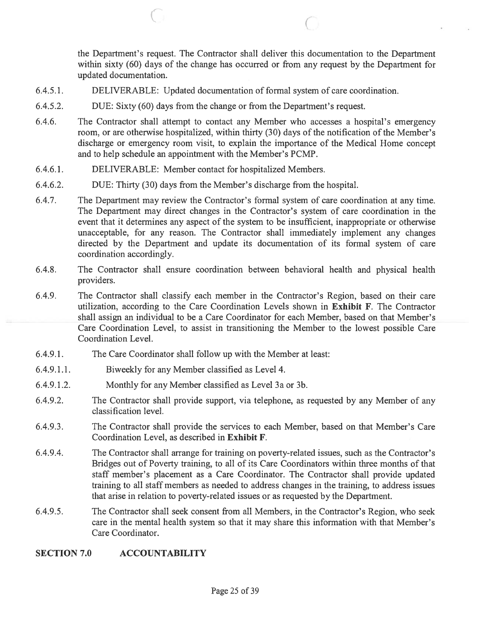the Department's request. The Contractor shall deliver this documentation to the Department within sixty (60) days of the change has occurred or from any reques<sup>t</sup> by the Department for updated documentation.

- 6.4.5.1. DELIVERABLE: Updated documentation of fonnal system of care coordination.
- 6.4.5.2. DUE: Sixty (60) days from the change or from the Department's request.
- 6.4.6. The Contractor shall attempt to contact any Member who accesses <sup>a</sup> hospital's emergency room, or are otherwise hospitalized, within thirty (30) days of the notification of the Member's discharge or emergency room visit, to explain the importance of the Medical Home concep<sup>t</sup> and to help schedule an appointment with the Member's PCMP.

 $\mathbb{C}^n$  contrarion  $\mathbb{C}^n$ 

- 6.4.6.1. DELIVERABLE: Member contact for hospitalized Members.
- 6.4.6.2. DUE: Thirty (30) days from the Member's discharge from the hospital.
- 6.4.7. The Department may review the Contractor's formal system of care coordination at any time. The Department may direct changes in the Contractor's system of care coordination in the event that it determines any aspec<sup>t</sup> of the system to be insufficient, inappropriate or otherwise unacceptable, for any reason. The Contractor shall immediately implement any changes directed by the Department and update its documentation of its formal system of care coordination accordingly.
- 6.4.8. The Contractor shall ensure coordination between behavioral health and physical health providers.
- 6.4.9. The Contractor shall classify each member in the Contractor's Region, based on their care utilization, according to the Care Coordination Levels shown in Exhibit F. The Contractor shall assign an individual to be <sup>a</sup> Care Coordinator for each Member, based on that Member's Care Coordination Level, to assist in transitioning the Member to the lowest possible Care Coordination Level.
- 6.4.9.1. The Care Coordinator shall follow up with the Member at least:
- 6.4.9.1.1. Biweekly for any Member classified as Level 4.
- 6.4.9.1.2. Monthly for any Member classified as Level 3a or 3b.
- 6.4.9.2. The Contractor shall provide support, via telephone, as requested by any Member of any classification level.
- 6.4.9.3. The Contractor shall provide the services to each Member, based on that Member's Care Coordination Level, as described in Exhibit F.
- 6.4.9.4. The Contractor shall arrange for training on poverty-related issues, such as the Contractor's Bridges out of Poverty training, to all of its Care Coordinators within three months of that staff member's placement as <sup>a</sup> Care Coordinator. The Contractor shall provide updated training to all staff members as needed to address changes in the training, to address issues that arise in relation to poverty-related issues or as requested by the Department.
- 6.4.9.5. The Contractor shall seek consent from all Members, in the Contractor's Region, who seek care in the mental health system so that it may share this information with that Member's Care Coordinator.

### SECTION 7.0 ACCOUNTABILITY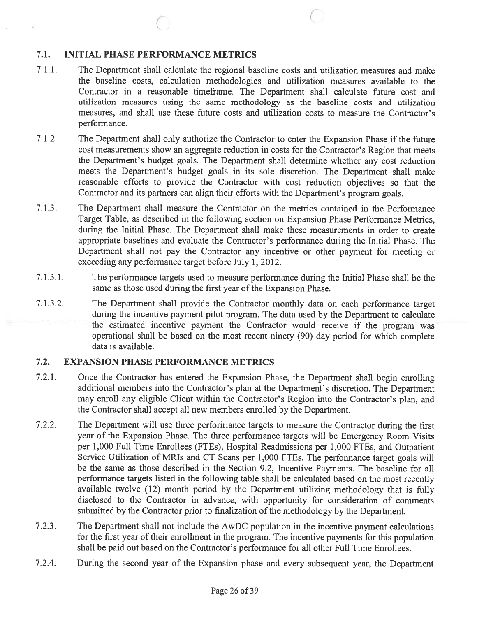## 7.1. INITIAL PHASE PERFORMANCE METRICS

7.1.1. The Department shall calculate the regional baseline costs and utilization measures and make the baseline costs, calculation methodologies and utilization measures available to the Contractor in <sup>a</sup> reasonable timefrarne. The Department shall calculate future cost and utilization measures using the same methodology as the baseline costs and utilization measures, and shall use these future costs and utilization costs to measure the Contractor's performance.

 $\circ$  C

- 7.1.2. The Department shall only authorize the Contractor to enter the Expansion Phase if the future cost measurements show an aggregate reduction in costs for the Contractor's Region that meets the Department's budget goals. The Department shall determine whether any cost reduction meets the Department's budget goals in its sole discretion. The Department shall make reasonable efforts to provide the Contractor with cost reduction objectives so that the Contractor and its partners can align their efforts with the Department's program goals.
- 7.1.3. The Department shall measure the Contractor on the metrics contained in the Performance Target Table, as described in the following section on Expansion Phase Performance Metrics, during the Initial Phase. The Department shall make these measurements in order to create appropriate baselines and evaluate the Contractor's performance during the Initial Phase. The Department shall not pay the Contractor any incentive or other paymen<sup>t</sup> for meeting or exceeding any performance target before July 1, 2012.
- 7.1.3.1. The performance targets used to measure performance during the Initial Phase shall be the same as those used during the first year of the Expansion Phase.
- 7.1.3.2. The Department shall provide the Contractor monthly data on each performance target during the incentive paymen<sup>t</sup> pilot program. The data used by the Department to calculate the estimated incentive paymen<sup>t</sup> the Contractor would receive if the program was operational shall be based on the most recent ninety (90) day period for which complete data is available.

## 7.2. EXPANSION PHASE PERFORMANCE METRICS

- 7.2.1. Once the Contractor has entered the Expansion Phase, the Department shall begin enrolling additional members into the Contractor's <sup>p</sup>lan at the Department's discretion. The Department may enroll any eligible Client within the Contractor's Region into the Contractor's <sup>p</sup>lan, and the Contractor shall accep<sup>t</sup> all new members enrolled by the Department.
- 7.2.2. The Department will use three perfoririance targets to measure the Contractor during the first year of the Expansion Phase. The three performance targets will be Emergency Room Visits per 1,000 Full Time Enrollees (FTEs), Hospital Readmissions per 1,000 FTEs, and Outpatient Service Utilization of MRIs and CT Scans per 1,000 FTEs. The perfonnance target goals will be the same as those described in the Section 9.2, Incentive Payments. The baseline for all performance targets listed in the following table shall be calculated based on the most recently available twelve (12) month period by the Department utilizing methodology that is fully disclosed to the Contractor in advance, with opportunity for consideration of comments submitted by the Contractor prior to finalization of the methodology by the Department.
- 7.2.3. The Department shall not include the AwDC population in the incentive paymen<sup>t</sup> calculations for the first year of their enrollment in the program. The incentive payments for this population shall be paid out based on the Contractor's performance for all other Full Time Enrollees.
- 7.2.4. During the second year of the Expansion <sup>p</sup>hase and every subsequent year, the Department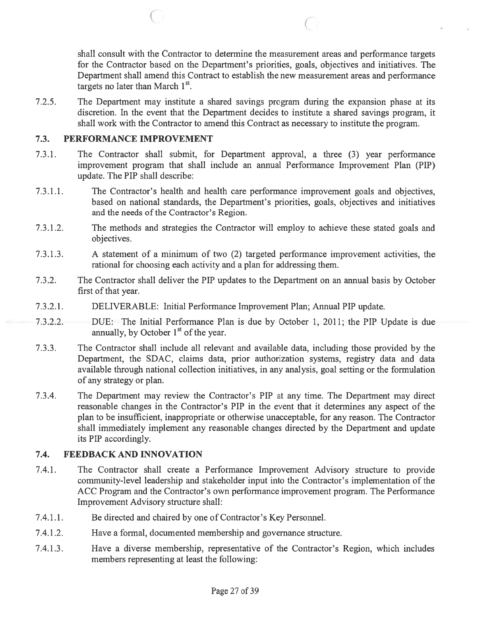shall consult with the Contractor to determine the measurement areas and performance targets for the Contractor based on the Department's priorities, goals, objectives and initiatives. The Department shall amend this Contract to establish the new measurement areas and performance targets no later than March  $1<sup>st</sup>$ .

7.2.5. The Department may institute <sup>a</sup> shared savings program during the expansion phase at its discretion. In the event that the Department decides to institute <sup>a</sup> shared savings program, it shall work with the Contractor to amend this Contract as necessary to institute the program.

 $\begin{array}{ccc} \circ & \circ & \circ \end{array}$ 

### 7.3. PERFORMANCE IMPROVEMENT

- 7.3.1. The Contractor shall submit, for Department approval, <sup>a</sup> three (3) year performance improvement program that shall include an annual Performance Improvement Plan (PIP) update. The PIP shall describe:
- 7.3.1.1. The Contractor's health and health care performance improvement goals and objectives, based on national standards, the Department's priorities, goals, objectives and initiatives and the needs of the Contractor's Region.
- 7.3.1.2. The methods and strategies the Contractor will employ to achieve these stated goals and objectives.
- 7.3.1.3. A statement of <sup>a</sup> minimum of two (2) targeted performance improvement activities, the rational for choosing each activity and <sup>a</sup> plan for addressing them.
- 7.3.2. The Contractor shall deliver the PIP updates to the Department on an annual basis by October first of that year.
- 7.3.2.1. DELIVERABLE: Initial Performance Improvement Plan; Annual PIP update.
- 7.3.2.2. DUE: The Initial Performance Plan is due by October 1, 2011; the PIP Update is due annually, by October  $1<sup>st</sup>$  of the year.
- 7.3.3. The Contractor shall include all relevant and available data, including those provided by the Department, the SDAC, claims data, prior authorization systems, registry data and data available through national collection initiatives, in any analysis, goal setting or the formulation of any strategy or plan.
- 7.3.4. The Department may review the Contractor's PIP at any time. The Department may direct reasonable changes in the Contractor's PIP in the event that it determines any aspec<sup>t</sup> of the plan to be insufficient, inappropriate or otherwise unacceptable, for any reason. The Contractor shall immediately implement any reasonable changes directed by the Department and update its PIP accordingly.

## 7.4. FEEDBACK AND INNOVATION

- 7.4.1. The Contractor shall create <sup>a</sup> Performance Improvement Advisory structure to provide community-level leadership and stakeholder input into the Contractor's implementation of the ACC Program and the Contractor's own performance improvement program. The Performance Improvement Advisory structure shall:
- 7.4.1.1. Be directed and chaired by one of Contractor's Key Personnel.
- 7.4.1.2. Have <sup>a</sup> formal, documented membership and governance structure.
- 7.4.1.3. Have <sup>a</sup> diverse membership, representative of the Contractor's Region, which includes members representing at least the following: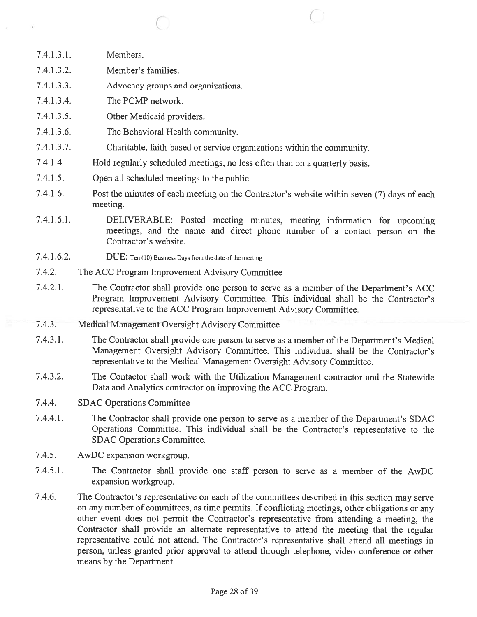- 7.4.1.3.1. Members. 7.4.1.3.2. Member's families.
- 
- 7.4.1.3.3. Advocacy groups and organizations.
- 7.4.1.3.4. The PCMP network.
- 7.4.1.3.5. Other Medicaid providers.
- 7.4.1.3.6. The Behavioral Health community.
- 7.4.1.3.7. Charitable, faith-based or service organizations within the community.
- 7.4.1.4. Hold regularly scheduled meetings, no less often than on <sup>a</sup> quarterly basis.
- 7.4.1.5. Open all scheduled meetings to the public.
- 7.4.1.6. Post the minutes of each meeting on the Contractor's website within seven (7) days of each meeting.

 $\overline{C}$ 

- 7.4.1.6.1. DELIVERABLE: Posted meeting minutes, meeting information for upcoming meetings, and the name and direct <sup>p</sup>hone number of <sup>a</sup> contact person on the Contractor's website.
- 7.4.1.6.2. DUE: Ten (10) Business Days from the date of the meeting.
- 7.4.2. The ACC Program Improvement Advisory Committee
- 7.4.2.1. The Contractor shall provide one person to serve as <sup>a</sup> member of the Department's ACC Program Improvement Advisory Committee. This individual shall be the Contractor's representative to the ACC Program Improvement Advisory Committee.
- 7.4.3. Medical Management Oversight Advisory Committee
- 7.4.3.1. The Contractor shall provide one person to serve as <sup>a</sup> member of the Department's Medical Management Oversight Advisory Committee. This individual shall be the Contractor's representative to the Medical Management Oversight Advisory Committee.
- 7.4.3.2. The Contactor shall work with the Utilization Management contractor and the Statewide Data and Analytics contractor on improving the ACC Program.
- 7.4.4. SDAC Operations Committee
- 7.4.4.1. The Contractor shall provide one person to serve as <sup>a</sup> member of the Department's SDAC Operations Committee. This individual shall be the Contractor's representative to the SDAC Operations Committee.
- 7.4.5. AwDC expansion workgroup.
- 7.4.5.1. The Contractor shall provide one staff person to serve as <sup>a</sup> member of the AwDC expansion workgroup.
- 7.4.6. The Contractor's representative on each of the committees described in this section may serve on any number of committees, as time permits. If conflicting meetings, other obligations or any other event does not permit the Contractor's representative from attending <sup>a</sup> meeting, the Contractor shall provide an alternate representative to attend the meeting that the regular representative could not attend. The Contractor's representative shall attend all meetings in person, unless granted prior approval to attend through telephone, video conference or other means by the Department.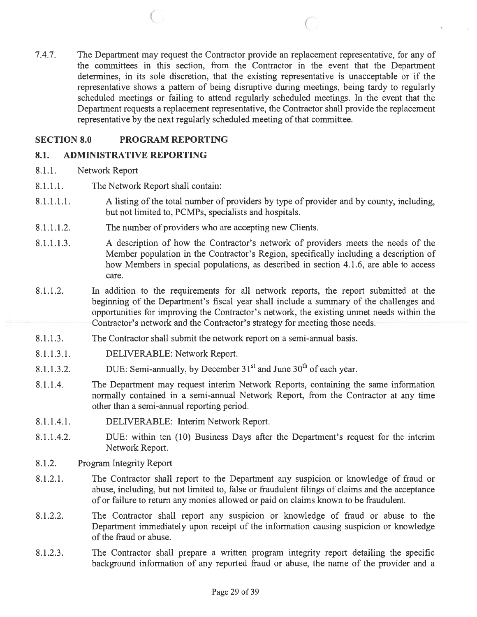7.4.7. The Department may reques<sup>t</sup> the Contractor provide an replacement representative, for any of the committees in this section, from the Contractor in the event that the Department determines, in its sole discretion, that the existing representative is unacceptable or if the representative shows <sup>a</sup> pattern of being disruptive during meetings, being tardy to regularly scheduled meetings or failing to attend regularly scheduled meetings. In the event that the Department requests <sup>a</sup> replacement representative, the Contractor shall provide the replacement representative by the next regularly scheduled meeting of that committee.

<sup>C</sup> <sup>C</sup>

## SECTION 8.0 PROGRAM REPORTING

### 8.1. ADMINISTRATIVE REPORTING

- 8.1.1. Network Report
- 8.1.1.1. The Network Report shall contain:
- 8.1.1.1.1. A listing of the total number of providers by type of provider and by county, including, but not limited to, PCMPs, specialists and hospitals.
- 8.1.1.1.2. The number of providers who are accepting new Clients.
- 8.1.1.1.3. A description of how the Contractor's network of providers meets the needs of the Member population in the Contractor's Region, specifically including <sup>a</sup> description of how Members in special populations, as described in section 4.1.6, are able to access care.
- 8.1.1.2. In addition to the requirements for all network reports, the repor<sup>t</sup> submitted at the beginning of the Department's fiscal year shall include <sup>a</sup> summary of the challenges and opportunities for improving the Contractor's network, the existing umnet needs within the Contractor's network and the Contractor's strategy for meeting those needs.
- 8.1.1.3. The Contractor shall submit the network repor<sup>t</sup> on <sup>a</sup> semi-annual basis.
- 8.1.1.3.1. DELIVERABLE: Network Report.
- 8.1.1.3.2. DUE: Semi-annually, by December  $31<sup>st</sup>$  and June  $30<sup>th</sup>$  of each year.
- 8.1.1.4. The Department may reques<sup>t</sup> interim Network Reports, containing the same information normally contained in <sup>a</sup> semi-annual Network Report, from the Contractor at any time other than <sup>a</sup> semi-annual reporting period.
- 8.1.1.4.1. DELIVERABLE: Interim Network Report.
- 8.1.1.4.2. DUE: within ten (10) Business Days after the Department's reques<sup>t</sup> for the interim Network Report.
- 8.1.2. Program Integrity Report
- 8.1.2.1. The Contractor shall repor<sup>t</sup> to the Department any suspicion or knowledge of fraud or abuse, including, but not limited to, false or fraudulent filings of claims and the acceptance of or failure to return any monies allowed or paid on claims known to be fraudulent.
- 8.1.2.2. The Contractor shall repor<sup>t</sup> any suspicion or knowledge of fraud or abuse to the Department immediately upon receipt of the information causing suspicion or knowledge of the fraud or abuse.
- 8.1.2.3. The Contractor shall prepare <sup>a</sup> written program integrity repor<sup>t</sup> detailing the specific background information of any reported fraud or abuse, the name of the provider and <sup>a</sup>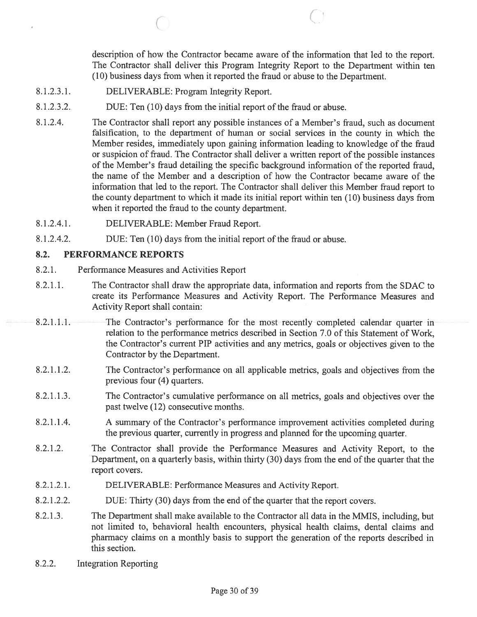description of how the Contractor became aware of the information that led to the report. The Contractor shall deliver this Program Integrity Report to the Department within ten (10) business days from when it reported the fraud or abuse to the Department.

8.1.2.3.1. DELIVERABLE: Program Integrity Report.

C

- 8.1.2.3.2. DUE: Ten (10) days from the initial repor<sup>t</sup> of the fraud or abuse.
- 8.1.2.4. The Contractor shall repor<sup>t</sup> any possible instances of <sup>a</sup> Member's fraud, such as document falsification, to the department of human or social services in the county in which the Member resides, immediately upon gaining information leading to knowledge of the fraud or suspicion of fraud. The Contractor shall deliver <sup>a</sup> written repor<sup>t</sup> of the possible instances of the Member's fraud detailing the specific background information of the reported fraud, the name of the Member and <sup>a</sup> description of how the Contractor became aware of the information that led to the report. The Contractor shall deliver this Member fraud repor<sup>t</sup> to the county department to which it made its initial repor<sup>t</sup> within ten (10) business days from when it reported the fraud to the county department.
- 8.1.2.4.1. DELIVERABLE: Member Fraud Report.
- 8.1.2.4.2. DUE: Ten (10) days from the initial repor<sup>t</sup> of the fraud or abuse.

### 8.2. PERFORMANCE REPORTS

- 8.2.1. Performance Measures and Activities Report
- 8.2.1.1. The Contractor shall draw the appropriate data, information and reports from the SDAC to create its Performance Measures and Activity Report. The Performance Measures and Activity Report shall contain:
- 8.2.1.1.1. The Contractor's performance for the most recently completed calendar quarter in relation to the performance metrics described in Section 7.0 of this Statement of Work, the Contractor's current PIP activities and any metrics, goals or objectives given to the Contractor by the Department.
- 8.2.1.1.2. The Contractor's performance on all applicable metrics, goals and objectives from the previous four (4) quarters.
- 8.2.1.1.3. The Contractor's cumulative performance on all metrics, goals and objectives over the pas<sup>t</sup> twelve (12) consecutive months.
- 8.2.1.1.4. A summary of the Contractor's performance improvement activities completed during the previous quarter, currently in progress and planned for the upcoming quarter.
- 8.2.1.2. The Contractor shall provide the Performance Measures and Activity Report, to the Department, on a quarterly basis, within thirty (30) days from the end of the quarter that the report covers.
- 8.2.1.2.1. DELIVERABLE: Performance Measures and Activity Report.
- 8.2.1.2.2. DUE: Thirty (30) days from the end of the quarter that the repor<sup>t</sup> covers.
- 8.2.1.3. The Department shall make available to the Contractor all data in the MMIS, including, but not limited to, behavioral health encounters, physical health claims, dental claims and pharmacy claims on <sup>a</sup> monthly basis to suppor<sup>t</sup> the generation of the reports described in this section.
- 8.2.2. Integration Reporting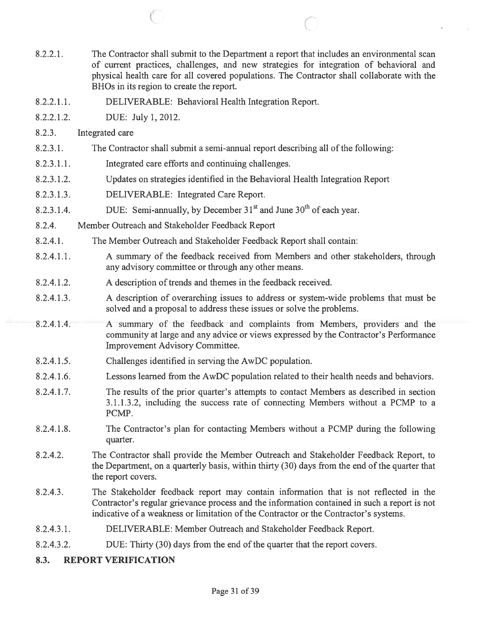8.2.2.1. The Contractor shall submit to the Department <sup>a</sup> repor<sup>t</sup> that includes an environmental scan of current practices, challenges, and new strategies for integration of behavioral and physical health care for all covered populations. The Contractor shall collaborate with the BHOs in its region to create the report. 8.2.2.1.1. DELIVERABLE: Behavioral Health Integration Report. 8.2.2.1.2. DUE: July 1, 2012. 8.2.3. Integrated care 8.2.3.1. The Contractor shall submit <sup>a</sup> semi-annual repor<sup>t</sup> describing all of the following: 8.2.3.1.1. Integrated care efforts and continuing challenges. 8.2.3.1.2. Updates on strategies identified in the Behavioral Health Integration Report 8.2.3.1.3. DELIVERABLE: Integrated Care Report. 8.2.3.1.4. DUE: Semi-annually, by December  $31<sup>st</sup>$  and June  $30<sup>th</sup>$  of each year. 8.2.4. Member Outreach and Stakeholder Feedback Report 8.2.4.1. The Member Outreach and Stakeholder Feedback Report shall contain: 8.2.4.1.1. A summary of the feedback received from Members and other stakeholders, through any advisory committee or through any other means. 8.2.4.1.2. A description of trends and themes in the feedback received. 8.2.4.1.3. A description of overarching issues to address or system-wide problems that must be solved and <sup>a</sup> proposal to address these issues or solve the problems. 8.2.4.1.4. A summary of the feedback and complaints from Members, providers and the community at large and any advice or views expressed by the Contractor's Performance Improvement Advisory Committee. 8.2.4.1.5. Challenges identified in serving the AwDC population. 8.2.4.1.6. Lessons learned from the AwDC population related to their health needs and behaviors. 8.2.4.1.7. The results of the prior quarter's attempts to contact Members as described in section 3.1.1.3.2, including the success rate of connecting Members without <sup>a</sup> PCMP to <sup>a</sup> PCMP. 8.2.4.1.8. The Contractor's plan for contacting Members without <sup>a</sup> PCMP during the following quarter. 8.2.4.2. The Contractor shall provide the Member Outreach and Stakeholder Feedback Report, to the Department, on <sup>a</sup> quarterly basis, within thirty (30) days from the end of the quarter that the repor<sup>t</sup> covers. 8.2.4.3. The Stakeholder feedback repor<sup>t</sup> may contain information that is not reflected in the Contractor's regular grievance process and the information contained in such <sup>a</sup> repor<sup>t</sup> is not indicative of <sup>a</sup> weakness or limitation of the Contractor or the Contractor's systems.

 $\overline{C}$  contrary contrary contrary contrary contrary contrary contrary contrary contrary contrary contrary contrary contrary contrary contrary contrary contrary contrary contrary contrary contrary contrary contrary contr

- 8.2.4.3.1. DELIVERABLE: Member Outreach and Stakeholder Feedback Report.
- 8.2.4.3.2. DUE: Thirty (30) days from the end of the quarter that the repor<sup>t</sup> covers.
- 8.3. REPORT VERIFICATION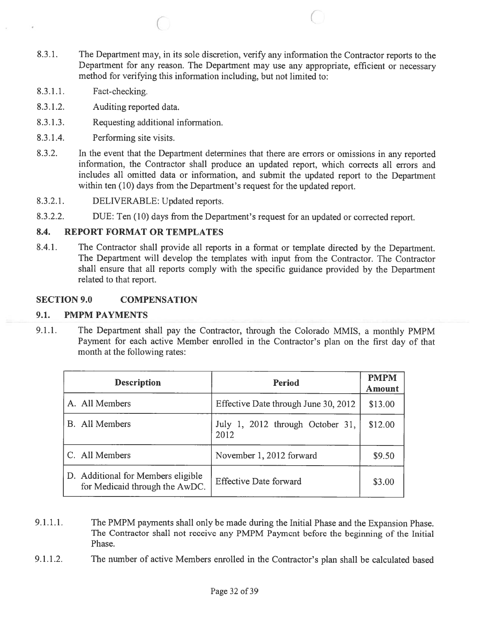8.3.1. The Department may, in its sole discretion, verify any information the Contractor reports to the Department for any reason. The Department may use any appropriate, efficient or necessary method for verifying this information including, but not limited to:

 $\circ$  C

- 8.3.1.1. Fact-checking.
- 8.3.1.2. Auditing reported data.
- 8.3.1.3. Requesting additional information.
- 8.3.1.4. Performing site visits.
- 8.3.2. In the event that the Department determines that there are errors or omissions in any reported information, the Contractor shall produce an updated report, which corrects all errors and includes all omitted data or information, and submit the updated repor<sup>t</sup> to the Department within ten (10) days from the Department's request for the updated report.
- 8.3.2.1. DELIVERABLE: Updated reports.
- 8.3.2.2. DUE: Ten (10) days from the Department's reques<sup>t</sup> for an updated or corrected report.

### 8.4. REPORT FORMAT OR TEMPLATES

8.4.1. The Contractor shall provide all reports in <sup>a</sup> format or template directed by the Department. The Department will develop the templates with input from the Contractor. The Contractor shall ensure that all reports comply with the specific guidance provided by the Department related to that report.

### SECTION 9.0 COMPENSATION

### 9.1. PMPM PAYMENTS

9.1.1. The Department shall pay the Contractor, through the Colorado MMIS, <sup>a</sup> monthly PMPM Payment for each active Member enrolled in the Contractor's <sup>p</sup>lan on the first day of that month at the following rates:

| <b>Description</b>                                                   | <b>Period</b>                            | <b>PMPM</b><br><b>Amount</b> |
|----------------------------------------------------------------------|------------------------------------------|------------------------------|
| A. All Members                                                       | Effective Date through June 30, 2012     | \$13.00                      |
| <b>B.</b> All Members                                                | July 1, 2012 through October 31,<br>2012 | \$12.00                      |
| C. All Members                                                       | November 1, 2012 forward                 | \$9.50                       |
| D. Additional for Members eligible<br>for Medicaid through the AwDC. | <b>Effective Date forward</b>            | \$3.00                       |

- 9.1.1.1. The PMPM payments shall only be made during the Initial Phase and the Expansion Phase. The Contractor shall not receive any PMPM Payment before the beginning of the Initial Phase.
- 9.1.1.2. The number of active Members enrolled in the Contractor's <sup>p</sup>lan shall be calculated based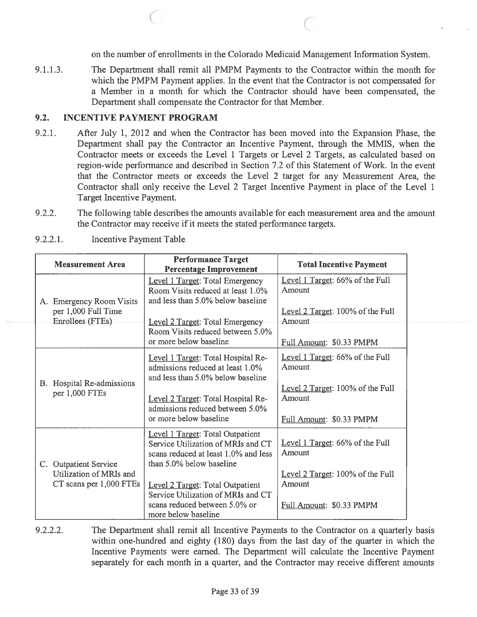on the number of enrollments in the Colorado Medicaid Management Information System.

9.1.1.3. The Department shall remit all PMPM Payments to the Contractor within the month for which the PMPM Payment applies. In the event that the Contractor is not compensated for <sup>a</sup> Member in <sup>a</sup> month for which the Contractor should have been compensated, the Department shall compensate the Contractor for that Member.

 $\begin{array}{ccc} \circ & \circ & \circ \end{array}$ 

### 9.2. INCENTIVE PAYMENT PROGRAM

- 9.2.1. After July 1, 2012 and when the Contractor has been moved into the Expansion Phase, the Department shall pay the Contractor an Incentive Payment, through the MMIS, when the Contractor meets or exceeds the Level 1 Targets or Level 2 Targets, as calculated based on region-wide performance and described in Section 7.2 of this Statement of Work. In the event that the Contractor meets or exceeds the Level 2 target for any Measurement Area, the Contractor shall only receive the Level 2 Target Incentive Payment in place of the Level 1 Target Incentive Payment.
- 9.2.2. The following table describes the amounts available for each measurement area and the amount the Contractor may receive if it meets the stated performance targets.

|    | <b>Measurement Area</b>                                                     | <b>Performance Target</b><br><b>Percentage Improvement</b>                                                                                 | <b>Total Incentive Payment</b>                                         |
|----|-----------------------------------------------------------------------------|--------------------------------------------------------------------------------------------------------------------------------------------|------------------------------------------------------------------------|
|    | A. Emergency Room Visits<br>per 1,000 Full Time<br>Enrollees (FTEs)         | Level 1 Target: Total Emergency<br>Room Visits reduced at least 1.0%<br>and less than 5.0% below baseline                                  | Level 1 Target: 66% of the Full<br>Amount                              |
|    |                                                                             | Level 2 Target: Total Emergency<br>Room Visits reduced between 5.0%<br>or more below baseline                                              | Level 2 Target: 100% of the Full<br>Amount<br>Full Amount: \$0.33 PMPM |
|    |                                                                             |                                                                                                                                            |                                                                        |
| В. | Hospital Re-admissions<br>per 1,000 FTEs                                    | Level 1 Target: Total Hospital Re-<br>admissions reduced at least 1.0%<br>and less than 5.0% below baseline                                | Level 1 Target: 66% of the Full<br>Amount                              |
|    |                                                                             | Level 2 Target: Total Hospital Re-<br>admissions reduced between 5.0%                                                                      | Level 2 Target: 100% of the Full<br>Amount                             |
|    |                                                                             | or more below baseline                                                                                                                     | Full Amount: \$0.33 PMPM                                               |
|    | C. Outpatient Service<br>Utilization of MRIs and<br>CT scans per 1,000 FTEs | Level 1 Target: Total Outpatient<br>Service Utilization of MRIs and CT<br>scans reduced at least 1.0% and less<br>than 5.0% below baseline | Level 1 Target: 66% of the Full<br>Amount                              |
|    |                                                                             |                                                                                                                                            | Level 2 Target: 100% of the Full                                       |
|    |                                                                             | Level 2 Target: Total Outpatient<br>Service Utilization of MRIs and CT                                                                     | Amount                                                                 |
|    |                                                                             | scans reduced between 5.0% or<br>more below baseline                                                                                       | Full Amount: \$0.33 PMPM                                               |

9.2.2.1. Incentive Payment Table

9.2.2.2. The Department shall remit all Incentive Payments to the Contractor on <sup>a</sup> quarterly basis within one-hundred and eighty (180) days from the last day of the quarter in which the Incentive Payments were earned. The Department will calculate the Incentive Payment separately for each month in <sup>a</sup> quarter, and the Contractor may receive different amounts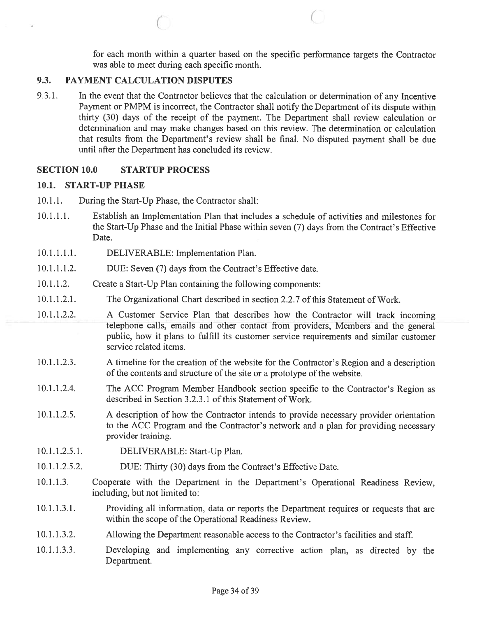for each month within <sup>a</sup> quarter based on the specific performance targets the Contractor was able to meet during each specific month.

#### 9.3. PAYMENT CALCULATION DISPUTES

9.3.1. In the event that the Contractor believes that the calculation or determination of any Incentive Payment or PMPM is incorrect, the Contractor shall notify the Department of its dispute within thirty (30) days of the receipt of the payment. The Department shall review calculation or determination and may make changes based on this review. The determination or calculation that results from the Department's review shall be final. No disputed paymen<sup>t</sup> shall be due until after the Department has concluded its review.

 $\circ$  C

#### SECTION 10.0 STARTUP PROCESS

#### 10.1. START-UP PHASE

- 10.1.1. During the Start-Up Phase, the Contractor shall:
- 10.1.1.1. Establish an Implementation Plan that includes <sup>a</sup> schedule of activities and milestones for the Start-Up Phase and the Initial Phase within seven (7) days from the Contract's Effective Date.
- 10.1.1.1.1. DELIVERABLE: Implementation Plan.
- 10.1.1.1.2. DUE: Seven (7) days from the Contract's Effective date.
- 10.1.1.2. Create <sup>a</sup> Start-Up Plan containing the following components:
- 10.1.1.2.1. The Organizational Chart described in section 2.2.7 ofthis Statement of Work.
- 10.1.1.2.2. <sup>A</sup> Customer Service Plan that describes how the Contractor will track incoming telephone calls, emails and other contact from providers, Members and the genera<sup>l</sup> public, how it plans to fulfill its customer service requirements and similar customer service related items.
- 10.1.1.2.3. A timeline for the creation of the website for the Contractor's Region and a description of the contents and structure of the site or <sup>a</sup> prototype of the website.
- 10.1.1.2.4. The ACC Program Member Handbook section specific to the Contractor's Region as described in Section 3.2.3.1 of this Statement of Work.
- 10.1.1.2.5. <sup>A</sup> description of how the Contractor intends to provide necessary provider orientation to the ACC Program and the Contractor's network and <sup>a</sup> plan for providing necessary provider training.
- 10.1.1.2.5.1. DELIVERABLE: Start-Up Plan.
- 10.1.1.2.5.2. DUE: Thirty (30) days from the Contract's Effective Date.
- 10.1.1.3. Cooperate with the Department in the Department's Operational Readiness Review, including, but not limited to:
- 10.1.1.3.1. Providing all information, data or reports the Department requires or requests that are within the scope of the Operational Readiness Review.
- 10.1.1.3.2. Allowing the Department reasonable access to the Contractor's facilities and staff.
- 10.1.1.3.3. Developing and implementing any corrective action <sup>p</sup>lan, as directed by the Department.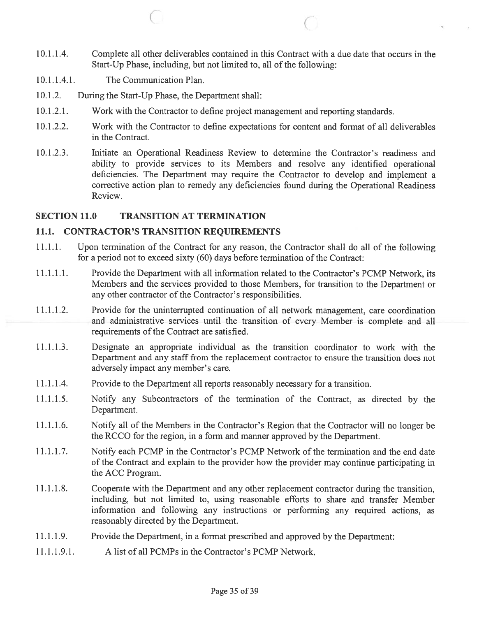10.1.1.4. Complete all other deliverables contained in this Contract with <sup>a</sup> due date that occurs in the Start-Up Phase, including, but not limited to, all of the following:

 $\qquad \qquad \qquad \qquad \qquad \qquad \qquad$ 

- 10.1.1.4.1. The Communication Plan.
- 10.1.2. During the Start-Up Phase, the Department shall:
- 10.1.2.1. Work with the Contractor to define project managemen<sup>t</sup> and reporting standards.
- 10.1 .2.2. Work with the Contractor to define expectations for content and format of all deliverables in the Contract.
- 10.1.2.3. Initiate an Operational Readiness Review to determine the Contractor's readiness and ability to provide services to its Members and resolve any identified operational deficiencies. The Department may require the Contractor to develop and implement <sup>a</sup> corrective action plan to remedy any deficiencies found during the Operational Readiness Review.

### SECTION 11.0 TRANSITION AT TERMINATION

### 11.1. CONTRACTOR'S TRANSITION REQUIREMENTS

- 11.1.1. Upon termination of the Contract for any reason, the Contractor shall do all of the following for <sup>a</sup> period not to exceed sixty (60) days before termination of the Contract:
- 11.1.1.1. Provide the Department with all information related to the Contractor's PCMP Network, its Members and the services provided to those Members, for transition to the Department or any other contractor of the Contractor's responsibilities.
- 11.1.1.2. Provide for the uninterrupted continuation of all network management, care coordination and administrative services until the transition of every Member is complete and all requirements of the Contract are satisfied.
- 11.1.1.3. Designate an appropriate individual as the transition coordinator to work with the Department and any staff from the replacement contractor to ensure the transition does not adversely impact any member's care.
- 11.1.1.4. Provide to the Department all reports reasonably necessary for <sup>a</sup> transition.
- 11.1.1.5. Notify any Subcontractors of the termination of the Contract, as directed by the Department.
- 11.1.1.6. Notify all of the Members in the Contractor's Region that the Contractor will no longer be the RCCO for the region, in <sup>a</sup> form and manner approved by the Department.
- 11.1.1.7. Notify each PCMP in the Contractor's PCMP Network of the termination and the end date of the Contract and explain to the provider how the provider may continue participating in the ACC Program.
- 11.1.1.8. Cooperate with the Department and any other replacement contractor during the transition, including, but not limited to, using reasonable efforts to share and transfer Member information and following any instructions or performing any required actions, as reasonably directed by the Department.
- 11.1.1.9. Provide the Department, in <sup>a</sup> format prescribed and approved by the Department:
- 11.1.1.9.1. A list of all PCMPs in the Contractor's PCMP Network.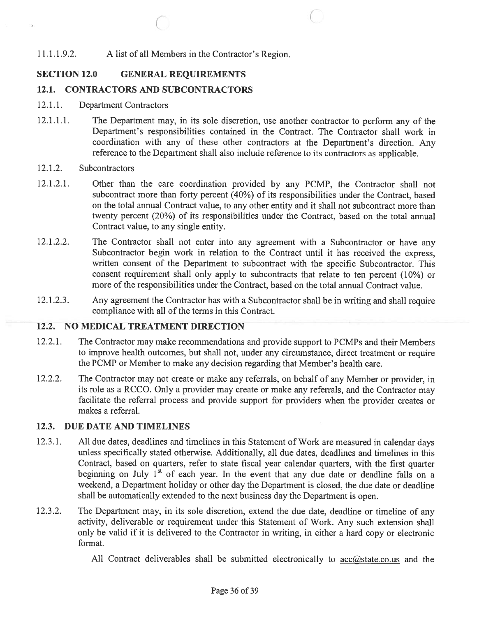## 11.1.1.9.2. A list of all Members in the Contractor's Region.

## SECTION 12.0 GENERAL REQUIREMENTS

### 12.1. CONTRACTORS AND SUBCONTRACTORS

- 12.1.1. Department Contractors
- 12.1.1.1. The Department may, in its sole discretion, use another contractor to perform any of the Department's responsibilities contained in the Contract. The Contractor shall work in coordination with any of these other contractors at the Department's direction. Any reference to the Department shall also include reference to its contractors as applicable.

 $\circ$  c

#### 12.1.2. Subcontractors

- 12.1.2.1. Other than the care coordination provided by any PCMP, the Contractor shall not subcontract more than forty percen<sup>t</sup> (40%) of its responsibilities under the Contract, based on the total annual Contract value, to any other entity and it shall not subcontract more than twenty percen<sup>t</sup> (20%) of its responsibilities under the Contract, based on the total annual Contract value, to any single entity.
- 12.1.2.2. The Contractor shall not enter into any agreement with a Subcontractor or have any Subcontractor begin work in relation to the Contract until it has received the express, written consent of the Department to subcontract with the specific Subcontractor. This consent requirement shall only apply to subcontracts that relate to ten percen<sup>t</sup> (10%) or more of the responsibilities under the Contract, based on the total annual Contract value.
- 12.1.2.3. Any agreemen<sup>t</sup> the Contractor has with <sup>a</sup> Subcontractor shall be in writing and shall require compliance with all of the terms in this Contract.

### 12.2. NO MEDICAL TREATMENT DIRECTION

- 12.2.1. The Contractor may make recommendations and provide support to PCMPs and their Members to improve health outcomes, but shall not, under any circumstance, direct treatment or require the PCMP or Member to make any decision regarding that Member's health care.
- 12.2.2. The Contractor may not create or make any referrals, on behalf of any Member or provider, in its role as <sup>a</sup> RCCO. Only <sup>a</sup> provider may create or make any referrals, and the Contractor may facilitate the referral process and provide suppor<sup>t</sup> for providers when the provider creates or makes <sup>a</sup> referral.

### 12.3. DUE DATE AND TIMELINES

- 12.3.1. All due dates, deadlines and timelines in this Statement of Work are measured in calendar days unless specifically stated otherwise. Additionally, all due dates, deadlines and timelines in this Contract, based on quarters, refer to state fiscal year calendar quarters, with the first quarter beginning on July  $1^{st}$  of each year. In the event that any due date or deadline falls on a weekend, <sup>a</sup> Department holiday or other day the Department is closed, the due date or deadline shall be automatically extended to the next business day the Department is open.
- 12.3.2. The Department may, in its sole discretion, extend the due date, deadline or timeline of any activity, deliverable or requirement under this Statement of Work. Any such extension shall only be valid if it is delivered to the Contractor in writing, in either <sup>a</sup> hard copy or electronic format.
	- All Contract deliverables shall be submitted electronically to  $\frac{acc@state.co.us}{}$  and the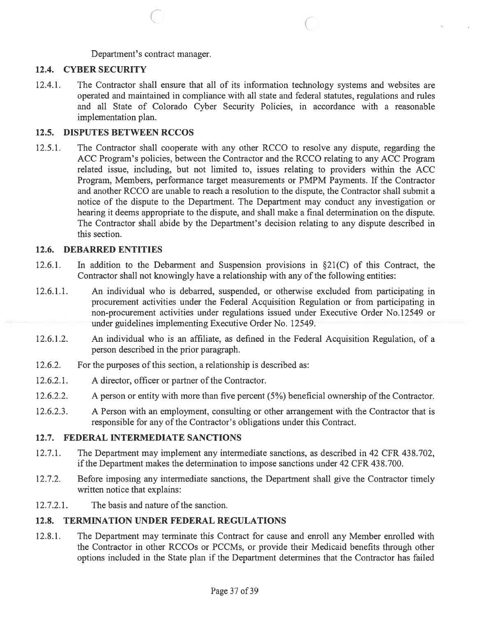Department's contract manager.

### 12.4. CYBER SECURITY

12.4.1. The Contractor shall ensure that all of its information technology systems and websites are operated and maintained in compliance with all state and federal statutes, regulations and rules and all State of Colorado Cyber Security Policies, in accordance with <sup>a</sup> reasonable implementation plan.

C C C

### 12.5. DISPUTES BETWEEN RCCOS

12.5.1. The Contractor shall cooperate with any other RCCO to resolve any dispute, regarding the ACC Program's policies, between the Contractor and the RCCO relating to any ACC Program related issue, including, but not limited to, issues relating to providers within the ACC Program, Members, performance target measurements or PMPM Payments. If the Contractor and another RCCO are unable to reach <sup>a</sup> resolution to the dispute, the Contractor shall submit <sup>a</sup> notice of the dispute to the Department. The Department may conduct any investigation or hearing it deems appropriate to the dispute, and shall make <sup>a</sup> final determination on the dispute. The Contractor shall abide by the Department's decision relating to any dispute described in this section.

### 12.6. DEBARRED ENTITIES

- 12.6.1. In addition to the Debarment and Suspension provisions in §21(C) of this Contract, the Contractor shall not knowingly have <sup>a</sup> relationship with any of the following entities:
- 12.6.1.1. An individual who is debarred, suspended, or otherwise excluded from participating in procuremen<sup>t</sup> activities under the Federal Acquisition Regulation or from participating in non-procuremen<sup>t</sup> activities under regulations issued under Executive Order No.12549 or under guidelines implementing Executive Order No. 12549.
- 12.6.1.2. An individual who is an affiliate, as defined in the Federal Acquisition Regulation, of <sup>a</sup> person described in the prior paragraph.
- 12.6.2. For the purposes of this section, <sup>a</sup> relationship is described as:
- 12.6.2.1. A director, officer or partner of the Contractor.
- 12.6.2.2. A person or entity with more than five percen<sup>t</sup> (5%) beneficial ownership of the Contractor.
- 12.6.2.3. A Person with an employment, consulting or other arrangement with the Contractor that is responsible for any of the Contractor's obligations under this Contract.

### 12.7. FEDERAL INTERMEDIATE SANCTIONS

- 12.7.1. The Department may implement any intermediate sanctions, as described in 42 CFR 438.702, if the Department makes the determination to impose sanctions under 42 CFR 438.700.
- 12.7.2. Before imposing any intermediate sanctions, the Department shall give the Contractor timely written notice that explains:
- 12.7.2.1. The basis and nature of the sanction.

## 12.8. TERMINATION UNDER FEDERAL REGULATIONS

12.8.1. The Department may terminate this Contract for cause and enroll any Member enrolled with the Contractor in other RCCOs or PCCMs, or provide their Medicaid benefits through other options included in the State plan if the Department determines that the Contractor has failed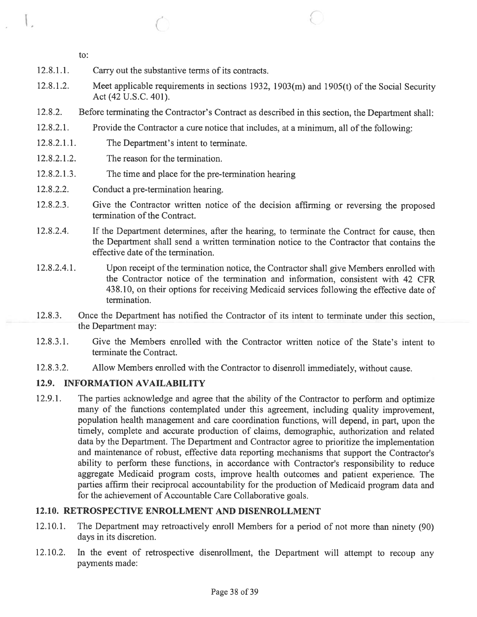to:

 $\overline{\phantom{a}}$ 

- 12.8.1.1. Carry out the substantive terms of its contracts.
- 12.8.1.2. Meet applicable requirements in sections 1932, 1903(m) and 1905(t) of the Social Security Act (42 U.S.C. 401).
- 12.8.2. Before terminating the Contractor's Contract as described in this section, the Department shall:
- 12.8.2.1. Provide the Contractor <sup>a</sup> cure notice that includes, at <sup>a</sup> minimum, all of the following:
- 12.8.2.1.1. The Department's intent to terminate.
- 12.8.2.1.2. The reason for the termination.
- 12.8.2.1.3. The time and place for the pre-terrnination hearing
- 12.8.2.2. Conduct a pre-termination hearing.
- 12.8.2.3. Give the Contractor written notice of the decision affirming or reversing the proposed termination of the Contract.
- 12.8.2.4. If the Department determines, after the hearing, to terminate the Contract for cause, then the Department shall send <sup>a</sup> written termination notice to the Contractor that contains the effective date of the termination.
- 12.8.2.4.1. Upon receipt of the termination notice, the Contractor shall <sup>g</sup>ive Members enrolled with the Contractor notice of the termination and information, consistent with 42 CFR 438.10, on their options for receiving Medicaid services following the effective date of termination.
- 12.8.3. Once the Department has notified the Contractor of its intent to terminate under this section, the Department may:
- 12.8.3.1. Give the Members enrolled with the Contractor written notice of the State's intent to terminate the Contract.
- 12.8.3.2. Allow Members enrolled with the Contractor to disenroll immediately, without cause.

## 12.9. INFORMATION AVAILABILITY

12.9.1. The parties acknowledge and agree that the ability of the Contractor to perform and optimize many of the functions contemplated under this agreement, including quality improvement, population health managemen<sup>t</sup> and care coordination functions, will depend, in part, upon the timely, complete and accurate production of claims, demographic, authorization and related data by the Department. The Department and Contractor agree to prioritize the implementation and maintenance of robust, effective data reporting mechanisms that suppor<sup>t</sup> the Contractor's ability to perform these functions, in accordance with Contractor's responsibility to reduce aggregate Medicaid program costs, improve health outcomes and patient experience. The parties affirm their reciprocal accountability for the production of Medicaid program data and for the achievement of Accountable Care Collaborative goals.

## 12.10. RETROSPECTIVE ENROLLMENT AND DISENROLLMENT

- 12.10.1. The Department may retroactively enroll Members for <sup>a</sup> period of not more than ninety (90) days in its discretion.
- 12.10.2. In the event of retrospective disenrollment, the Department will attempt to recoup any payments made: